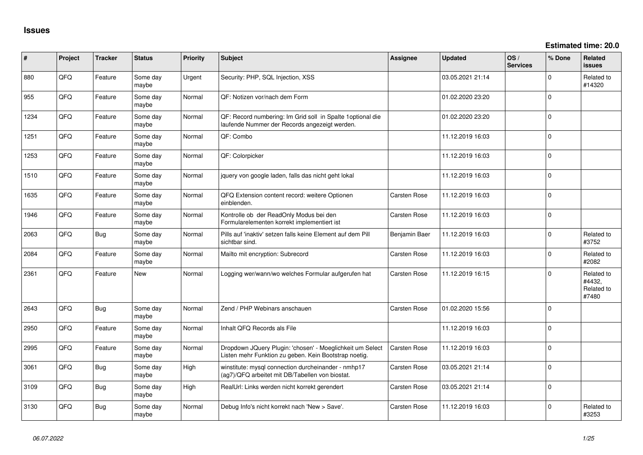**Estimated time: 20.0**

| #    | Project | <b>Tracker</b> | <b>Status</b>     | <b>Priority</b> | <b>Subject</b>                                                                                                     | <b>Assignee</b>     | Updated          | OS/<br><b>Services</b> | % Done   | <b>Related</b><br>issues                    |
|------|---------|----------------|-------------------|-----------------|--------------------------------------------------------------------------------------------------------------------|---------------------|------------------|------------------------|----------|---------------------------------------------|
| 880  | QFQ     | Feature        | Some day<br>maybe | Urgent          | Security: PHP, SQL Injection, XSS                                                                                  |                     | 03.05.2021 21:14 |                        | $\Omega$ | Related to<br>#14320                        |
| 955  | QFQ     | Feature        | Some day<br>maybe | Normal          | QF: Notizen vor/nach dem Form                                                                                      |                     | 01.02.2020 23:20 |                        | $\Omega$ |                                             |
| 1234 | QFQ     | Feature        | Some day<br>maybe | Normal          | QF: Record numbering: Im Grid soll in Spalte 1 optional die<br>laufende Nummer der Records angezeigt werden.       |                     | 01.02.2020 23:20 |                        | $\Omega$ |                                             |
| 1251 | QFQ     | Feature        | Some day<br>maybe | Normal          | QF: Combo                                                                                                          |                     | 11.12.2019 16:03 |                        | $\Omega$ |                                             |
| 1253 | QFQ     | Feature        | Some day<br>maybe | Normal          | QF: Colorpicker                                                                                                    |                     | 11.12.2019 16:03 |                        | $\Omega$ |                                             |
| 1510 | QFQ     | Feature        | Some day<br>maybe | Normal          | jquery von google laden, falls das nicht geht lokal                                                                |                     | 11.12.2019 16:03 |                        | $\Omega$ |                                             |
| 1635 | QFQ     | Feature        | Some day<br>maybe | Normal          | QFQ Extension content record: weitere Optionen<br>einblenden.                                                      | <b>Carsten Rose</b> | 11.12.2019 16:03 |                        | $\Omega$ |                                             |
| 1946 | QFQ     | Feature        | Some day<br>maybe | Normal          | Kontrolle ob der ReadOnly Modus bei den<br>Formularelementen korrekt implementiert ist                             | <b>Carsten Rose</b> | 11.12.2019 16:03 |                        | $\Omega$ |                                             |
| 2063 | QFQ     | Bug            | Some day<br>maybe | Normal          | Pills auf 'inaktiv' setzen falls keine Element auf dem Pill<br>sichtbar sind.                                      | Benjamin Baer       | 11.12.2019 16:03 |                        | $\Omega$ | Related to<br>#3752                         |
| 2084 | QFQ     | Feature        | Some day<br>maybe | Normal          | Mailto mit encryption: Subrecord                                                                                   | <b>Carsten Rose</b> | 11.12.2019 16:03 |                        | $\Omega$ | Related to<br>#2082                         |
| 2361 | QFQ     | Feature        | New               | Normal          | Logging wer/wann/wo welches Formular aufgerufen hat                                                                | <b>Carsten Rose</b> | 11.12.2019 16:15 |                        | $\Omega$ | Related to<br>#4432,<br>Related to<br>#7480 |
| 2643 | QFQ     | Bug            | Some day<br>maybe | Normal          | Zend / PHP Webinars anschauen                                                                                      | <b>Carsten Rose</b> | 01.02.2020 15:56 |                        | $\Omega$ |                                             |
| 2950 | QFQ     | Feature        | Some day<br>maybe | Normal          | Inhalt QFQ Records als File                                                                                        |                     | 11.12.2019 16:03 |                        | $\Omega$ |                                             |
| 2995 | QFQ     | Feature        | Some day<br>maybe | Normal          | Dropdown JQuery Plugin: 'chosen' - Moeglichkeit um Select<br>Listen mehr Funktion zu geben. Kein Bootstrap noetig. | <b>Carsten Rose</b> | 11.12.2019 16:03 |                        | $\Omega$ |                                             |
| 3061 | QFQ     | Bug            | Some day<br>maybe | High            | winstitute: mysql connection durcheinander - nmhp17<br>(ag7)/QFQ arbeitet mit DB/Tabellen von biostat.             | <b>Carsten Rose</b> | 03.05.2021 21:14 |                        | $\Omega$ |                                             |
| 3109 | QFQ     | Bug            | Some day<br>maybe | High            | RealUrl: Links werden nicht korrekt gerendert                                                                      | <b>Carsten Rose</b> | 03.05.2021 21:14 |                        | $\Omega$ |                                             |
| 3130 | QFQ     | Bug            | Some day<br>maybe | Normal          | Debug Info's nicht korrekt nach 'New > Save'.                                                                      | <b>Carsten Rose</b> | 11.12.2019 16:03 |                        | $\Omega$ | Related to<br>#3253                         |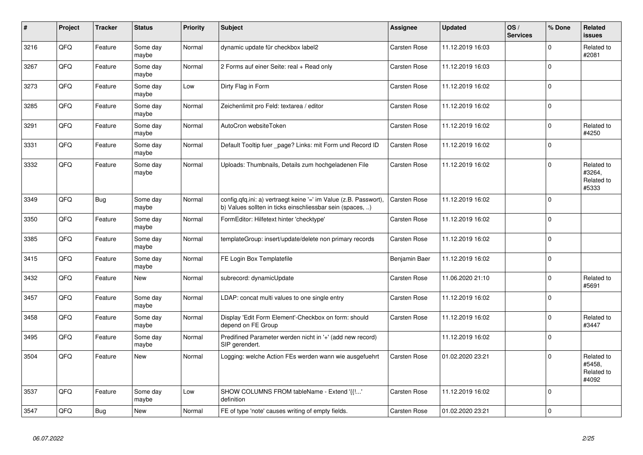| $\vert$ # | Project | <b>Tracker</b> | <b>Status</b>     | <b>Priority</b> | <b>Subject</b>                                                                                                                | Assignee            | <b>Updated</b>   | OS/<br><b>Services</b> | % Done      | Related<br><b>issues</b>                    |
|-----------|---------|----------------|-------------------|-----------------|-------------------------------------------------------------------------------------------------------------------------------|---------------------|------------------|------------------------|-------------|---------------------------------------------|
| 3216      | QFQ     | Feature        | Some day<br>maybe | Normal          | dynamic update für checkbox label2                                                                                            | <b>Carsten Rose</b> | 11.12.2019 16:03 |                        | $\Omega$    | Related to<br>#2081                         |
| 3267      | QFQ     | Feature        | Some day<br>maybe | Normal          | 2 Forms auf einer Seite: real + Read only                                                                                     | Carsten Rose        | 11.12.2019 16:03 |                        | $\Omega$    |                                             |
| 3273      | QFQ     | Feature        | Some day<br>maybe | Low             | Dirty Flag in Form                                                                                                            | Carsten Rose        | 11.12.2019 16:02 |                        | $\Omega$    |                                             |
| 3285      | QFQ     | Feature        | Some day<br>maybe | Normal          | Zeichenlimit pro Feld: textarea / editor                                                                                      | Carsten Rose        | 11.12.2019 16:02 |                        | $\Omega$    |                                             |
| 3291      | QFQ     | Feature        | Some day<br>maybe | Normal          | AutoCron websiteToken                                                                                                         | Carsten Rose        | 11.12.2019 16:02 |                        | $\Omega$    | Related to<br>#4250                         |
| 3331      | QFQ     | Feature        | Some day<br>maybe | Normal          | Default Tooltip fuer _page? Links: mit Form und Record ID                                                                     | Carsten Rose        | 11.12.2019 16:02 |                        | $\Omega$    |                                             |
| 3332      | QFQ     | Feature        | Some day<br>maybe | Normal          | Uploads: Thumbnails, Details zum hochgeladenen File                                                                           | <b>Carsten Rose</b> | 11.12.2019 16:02 |                        | $\Omega$    | Related to<br>#3264,<br>Related to<br>#5333 |
| 3349      | QFQ     | <b>Bug</b>     | Some day<br>maybe | Normal          | config.qfq.ini: a) vertraegt keine '=' im Value (z.B. Passwort),<br>b) Values sollten in ticks einschliessbar sein (spaces, ) | <b>Carsten Rose</b> | 11.12.2019 16:02 |                        | $\Omega$    |                                             |
| 3350      | QFQ     | Feature        | Some day<br>maybe | Normal          | FormEditor: Hilfetext hinter 'checktype'                                                                                      | Carsten Rose        | 11.12.2019 16:02 |                        | $\Omega$    |                                             |
| 3385      | QFQ     | Feature        | Some day<br>maybe | Normal          | templateGroup: insert/update/delete non primary records                                                                       | <b>Carsten Rose</b> | 11.12.2019 16:02 |                        | $\Omega$    |                                             |
| 3415      | QFQ     | Feature        | Some day<br>maybe | Normal          | FE Login Box Templatefile                                                                                                     | Benjamin Baer       | 11.12.2019 16:02 |                        | $\Omega$    |                                             |
| 3432      | QFQ     | Feature        | New               | Normal          | subrecord: dynamicUpdate                                                                                                      | <b>Carsten Rose</b> | 11.06.2020 21:10 |                        | $\mathbf 0$ | Related to<br>#5691                         |
| 3457      | QFQ     | Feature        | Some day<br>maybe | Normal          | LDAP: concat multi values to one single entry                                                                                 | <b>Carsten Rose</b> | 11.12.2019 16:02 |                        | $\Omega$    |                                             |
| 3458      | QFQ     | Feature        | Some day<br>maybe | Normal          | Display 'Edit Form Element'-Checkbox on form: should<br>depend on FE Group                                                    | <b>Carsten Rose</b> | 11.12.2019 16:02 |                        | $\Omega$    | Related to<br>#3447                         |
| 3495      | QFQ     | Feature        | Some day<br>maybe | Normal          | Predifined Parameter werden nicht in '+' (add new record)<br>SIP gerendert.                                                   |                     | 11.12.2019 16:02 |                        | $\Omega$    |                                             |
| 3504      | QFQ     | Feature        | <b>New</b>        | Normal          | Logging: welche Action FEs werden wann wie ausgefuehrt                                                                        | Carsten Rose        | 01.02.2020 23:21 |                        | $\Omega$    | Related to<br>#5458,<br>Related to<br>#4092 |
| 3537      | QFQ     | Feature        | Some day<br>maybe | Low             | SHOW COLUMNS FROM tableName - Extend '{{!'<br>definition                                                                      | Carsten Rose        | 11.12.2019 16:02 |                        | $\Omega$    |                                             |
| 3547      | QFQ     | <b>Bug</b>     | New               | Normal          | FE of type 'note' causes writing of empty fields.                                                                             | Carsten Rose        | 01.02.2020 23:21 |                        | $\Omega$    |                                             |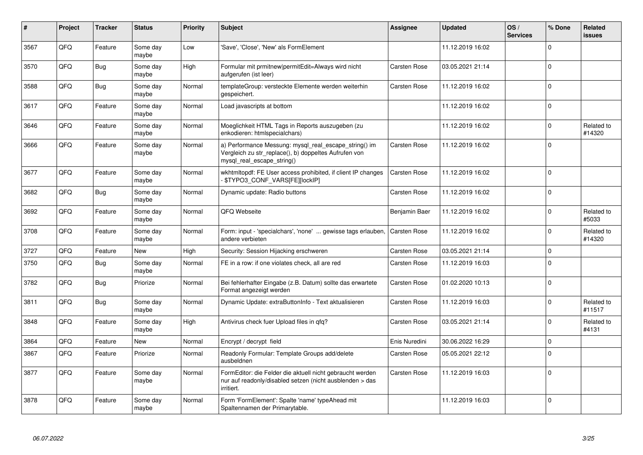| #    | Project | <b>Tracker</b> | <b>Status</b>     | <b>Priority</b> | <b>Subject</b>                                                                                                                               | <b>Assignee</b>     | <b>Updated</b>   | OS/<br><b>Services</b> | % Done   | Related<br><b>issues</b> |
|------|---------|----------------|-------------------|-----------------|----------------------------------------------------------------------------------------------------------------------------------------------|---------------------|------------------|------------------------|----------|--------------------------|
| 3567 | QFQ     | Feature        | Some day<br>maybe | Low             | 'Save', 'Close', 'New' als FormElement                                                                                                       |                     | 11.12.2019 16:02 |                        | $\Omega$ |                          |
| 3570 | QFQ     | Bug            | Some day<br>maybe | High            | Formular mit prmitnew permitEdit=Always wird nicht<br>aufgerufen (ist leer)                                                                  | Carsten Rose        | 03.05.2021 21:14 |                        | $\Omega$ |                          |
| 3588 | QFQ     | Bug            | Some day<br>maybe | Normal          | templateGroup: versteckte Elemente werden weiterhin<br>gespeichert.                                                                          | Carsten Rose        | 11.12.2019 16:02 |                        | $\Omega$ |                          |
| 3617 | QFQ     | Feature        | Some day<br>maybe | Normal          | Load javascripts at bottom                                                                                                                   |                     | 11.12.2019 16:02 |                        | $\Omega$ |                          |
| 3646 | QFQ     | Feature        | Some day<br>maybe | Normal          | Moeglichkeit HTML Tags in Reports auszugeben (zu<br>enkodieren: htmlspecialchars)                                                            |                     | 11.12.2019 16:02 |                        | $\Omega$ | Related to<br>#14320     |
| 3666 | QFQ     | Feature        | Some day<br>maybe | Normal          | a) Performance Messung: mysql_real_escape_string() im<br>Vergleich zu str replace(), b) doppeltes Aufrufen von<br>mysql_real_escape_string() | <b>Carsten Rose</b> | 11.12.2019 16:02 |                        | $\Omega$ |                          |
| 3677 | QFQ     | Feature        | Some day<br>maybe | Normal          | wkhtmltopdf: FE User access prohibited, if client IP changes<br><b>\$TYPO3 CONF VARS[FE][lockIP]</b>                                         | <b>Carsten Rose</b> | 11.12.2019 16:02 |                        | $\Omega$ |                          |
| 3682 | QFQ     | Bug            | Some day<br>maybe | Normal          | Dynamic update: Radio buttons                                                                                                                | Carsten Rose        | 11.12.2019 16:02 |                        | $\Omega$ |                          |
| 3692 | QFQ     | Feature        | Some day<br>maybe | Normal          | QFQ Webseite                                                                                                                                 | Benjamin Baer       | 11.12.2019 16:02 |                        | $\Omega$ | Related to<br>#5033      |
| 3708 | QFQ     | Feature        | Some day<br>maybe | Normal          | Form: input - 'specialchars', 'none'  gewisse tags erlauben,<br>andere verbieten                                                             | Carsten Rose        | 11.12.2019 16:02 |                        | $\Omega$ | Related to<br>#14320     |
| 3727 | QFQ     | Feature        | <b>New</b>        | High            | Security: Session Hijacking erschweren                                                                                                       | Carsten Rose        | 03.05.2021 21:14 |                        | $\Omega$ |                          |
| 3750 | QFQ     | Bug            | Some day<br>maybe | Normal          | FE in a row: if one violates check, all are red                                                                                              | <b>Carsten Rose</b> | 11.12.2019 16:03 |                        | $\Omega$ |                          |
| 3782 | QFQ     | Bug            | Priorize          | Normal          | Bei fehlerhafter Eingabe (z.B. Datum) sollte das erwartete<br>Format angezeigt werden                                                        | <b>Carsten Rose</b> | 01.02.2020 10:13 |                        | $\Omega$ |                          |
| 3811 | QFQ     | Bug            | Some day<br>maybe | Normal          | Dynamic Update: extraButtonInfo - Text aktualisieren                                                                                         | Carsten Rose        | 11.12.2019 16:03 |                        | $\Omega$ | Related to<br>#11517     |
| 3848 | QFQ     | Feature        | Some day<br>maybe | High            | Antivirus check fuer Upload files in qfq?                                                                                                    | Carsten Rose        | 03.05.2021 21:14 |                        | $\Omega$ | Related to<br>#4131      |
| 3864 | QFQ     | Feature        | <b>New</b>        | Normal          | Encrypt / decrypt field                                                                                                                      | Enis Nuredini       | 30.06.2022 16:29 |                        | $\Omega$ |                          |
| 3867 | QFQ     | Feature        | Priorize          | Normal          | Readonly Formular: Template Groups add/delete<br>ausbeldnen                                                                                  | Carsten Rose        | 05.05.2021 22:12 |                        | $\Omega$ |                          |
| 3877 | QFQ     | Feature        | Some day<br>maybe | Normal          | FormEditor: die Felder die aktuell nicht gebraucht werden<br>nur auf readonly/disabled setzen (nicht ausblenden > das<br>irritiert.          | Carsten Rose        | 11.12.2019 16:03 |                        | $\Omega$ |                          |
| 3878 | QFQ     | Feature        | Some day<br>maybe | Normal          | Form 'FormElement': Spalte 'name' typeAhead mit<br>Spaltennamen der Primarytable.                                                            |                     | 11.12.2019 16:03 |                        | $\Omega$ |                          |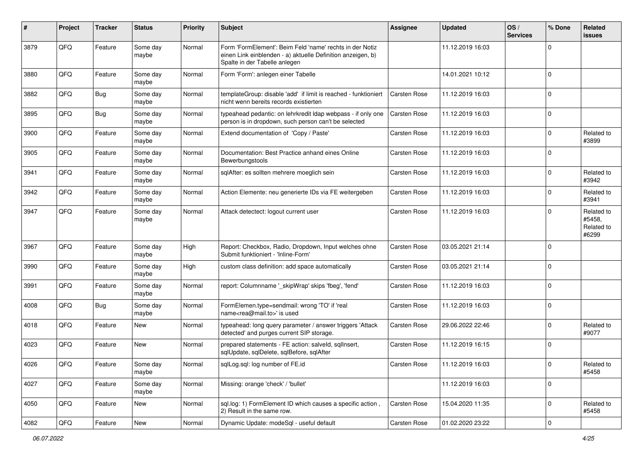| #    | Project | <b>Tracker</b> | <b>Status</b>     | <b>Priority</b> | <b>Subject</b>                                                                                                                                           | <b>Assignee</b>     | <b>Updated</b>   | OS/<br><b>Services</b> | % Done       | Related<br><b>issues</b>                    |
|------|---------|----------------|-------------------|-----------------|----------------------------------------------------------------------------------------------------------------------------------------------------------|---------------------|------------------|------------------------|--------------|---------------------------------------------|
| 3879 | QFQ     | Feature        | Some day<br>maybe | Normal          | Form 'FormElement': Beim Feld 'name' rechts in der Notiz<br>einen Link einblenden - a) aktuelle Definition anzeigen, b)<br>Spalte in der Tabelle anlegen |                     | 11.12.2019 16:03 |                        | $\Omega$     |                                             |
| 3880 | QFQ     | Feature        | Some day<br>maybe | Normal          | Form 'Form': anlegen einer Tabelle                                                                                                                       |                     | 14.01.2021 10:12 |                        | $\Omega$     |                                             |
| 3882 | QFQ     | Bug            | Some day<br>maybe | Normal          | templateGroup: disable 'add' if limit is reached - funktioniert<br>nicht wenn bereits records existierten                                                | Carsten Rose        | 11.12.2019 16:03 |                        | $\Omega$     |                                             |
| 3895 | QFQ     | Bug            | Some day<br>maybe | Normal          | typeahead pedantic: on lehrkredit Idap webpass - if only one<br>person is in dropdown, such person can't be selected                                     | <b>Carsten Rose</b> | 11.12.2019 16:03 |                        | $\Omega$     |                                             |
| 3900 | QFQ     | Feature        | Some day<br>maybe | Normal          | Extend documentation of 'Copy / Paste'                                                                                                                   | <b>Carsten Rose</b> | 11.12.2019 16:03 |                        | $\Omega$     | Related to<br>#3899                         |
| 3905 | QFQ     | Feature        | Some day<br>maybe | Normal          | Documentation: Best Practice anhand eines Online<br>Bewerbungstools                                                                                      | <b>Carsten Rose</b> | 11.12.2019 16:03 |                        | $\Omega$     |                                             |
| 3941 | QFQ     | Feature        | Some day<br>maybe | Normal          | sqlAfter: es sollten mehrere moeglich sein                                                                                                               | <b>Carsten Rose</b> | 11.12.2019 16:03 |                        | $\Omega$     | Related to<br>#3942                         |
| 3942 | QFQ     | Feature        | Some day<br>maybe | Normal          | Action Elemente: neu generierte IDs via FE weitergeben                                                                                                   | <b>Carsten Rose</b> | 11.12.2019 16:03 |                        | <sup>0</sup> | Related to<br>#3941                         |
| 3947 | QFQ     | Feature        | Some day<br>maybe | Normal          | Attack detectect: logout current user                                                                                                                    | <b>Carsten Rose</b> | 11.12.2019 16:03 |                        | $\Omega$     | Related to<br>#5458,<br>Related to<br>#6299 |
| 3967 | QFQ     | Feature        | Some day<br>maybe | High            | Report: Checkbox, Radio, Dropdown, Input welches ohne<br>Submit funktioniert - 'Inline-Form'                                                             | <b>Carsten Rose</b> | 03.05.2021 21:14 |                        | $\Omega$     |                                             |
| 3990 | QFQ     | Feature        | Some day<br>maybe | High            | custom class definition: add space automatically                                                                                                         | <b>Carsten Rose</b> | 03.05.2021 21:14 |                        | $\Omega$     |                                             |
| 3991 | QFQ     | Feature        | Some day<br>maybe | Normal          | report: Columnname '_skipWrap' skips 'fbeg', 'fend'                                                                                                      | <b>Carsten Rose</b> | 11.12.2019 16:03 |                        | $\mathbf 0$  |                                             |
| 4008 | QFQ     | Bug            | Some day<br>maybe | Normal          | FormElemen.type=sendmail: wrong 'TO' if 'real<br>name <rea@mail.to>' is used</rea@mail.to>                                                               | <b>Carsten Rose</b> | 11.12.2019 16:03 |                        | $\mathbf 0$  |                                             |
| 4018 | QFQ     | Feature        | <b>New</b>        | Normal          | typeahead: long query parameter / answer triggers 'Attack<br>detected' and purges current SIP storage.                                                   | Carsten Rose        | 29.06.2022 22:46 |                        | 0            | Related to<br>#9077                         |
| 4023 | QFQ     | Feature        | New               | Normal          | prepared statements - FE action: salveld, sqllnsert,<br>sqlUpdate, sqlDelete, sqlBefore, sqlAfter                                                        | <b>Carsten Rose</b> | 11.12.2019 16:15 |                        | $\Omega$     |                                             |
| 4026 | QFQ     | Feature        | Some day<br>maybe | Normal          | sqlLog.sql: log number of FE.id                                                                                                                          | Carsten Rose        | 11.12.2019 16:03 |                        | $\pmb{0}$    | Related to<br>#5458                         |
| 4027 | QFQ     | Feature        | Some day<br>maybe | Normal          | Missing: orange 'check' / 'bullet'                                                                                                                       |                     | 11.12.2019 16:03 |                        | $\mathbf 0$  |                                             |
| 4050 | QFQ     | Feature        | New               | Normal          | sql.log: 1) FormElement ID which causes a specific action,<br>2) Result in the same row.                                                                 | <b>Carsten Rose</b> | 15.04.2020 11:35 |                        | 0            | Related to<br>#5458                         |
| 4082 | QFQ     | Feature        | New               | Normal          | Dynamic Update: modeSql - useful default                                                                                                                 | Carsten Rose        | 01.02.2020 23:22 |                        | $\mathbf 0$  |                                             |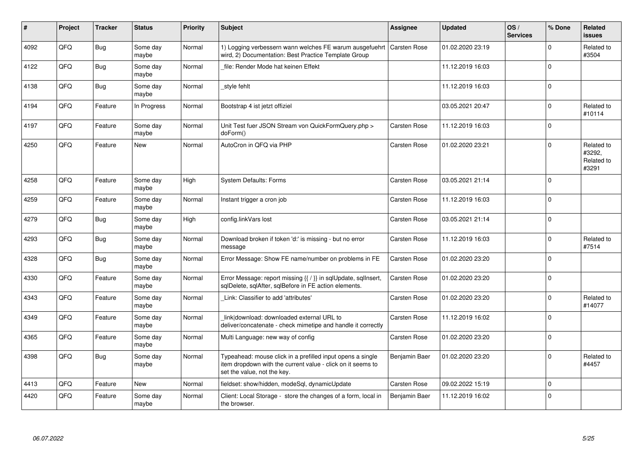| #    | Project | <b>Tracker</b> | <b>Status</b>     | <b>Priority</b> | <b>Subject</b>                                                                                                                                           | <b>Assignee</b>     | <b>Updated</b>   | OS/<br><b>Services</b> | % Done      | Related<br><b>issues</b>                    |
|------|---------|----------------|-------------------|-----------------|----------------------------------------------------------------------------------------------------------------------------------------------------------|---------------------|------------------|------------------------|-------------|---------------------------------------------|
| 4092 | QFQ     | <b>Bug</b>     | Some day<br>maybe | Normal          | 1) Logging verbessern wann welches FE warum ausgefuehrt<br>wird, 2) Documentation: Best Practice Template Group                                          | <b>Carsten Rose</b> | 01.02.2020 23:19 |                        | $\Omega$    | Related to<br>#3504                         |
| 4122 | QFQ     | Bug            | Some day<br>maybe | Normal          | file: Render Mode hat keinen Effekt                                                                                                                      |                     | 11.12.2019 16:03 |                        | $\Omega$    |                                             |
| 4138 | QFQ     | <b>Bug</b>     | Some day<br>maybe | Normal          | style fehlt                                                                                                                                              |                     | 11.12.2019 16:03 |                        | $\Omega$    |                                             |
| 4194 | QFQ     | Feature        | In Progress       | Normal          | Bootstrap 4 ist jetzt offiziel                                                                                                                           |                     | 03.05.2021 20:47 |                        | $\Omega$    | Related to<br>#10114                        |
| 4197 | QFQ     | Feature        | Some day<br>maybe | Normal          | Unit Test fuer JSON Stream von QuickFormQuery.php ><br>doForm()                                                                                          | <b>Carsten Rose</b> | 11.12.2019 16:03 |                        | $\Omega$    |                                             |
| 4250 | QFQ     | Feature        | <b>New</b>        | Normal          | AutoCron in QFQ via PHP                                                                                                                                  | <b>Carsten Rose</b> | 01.02.2020 23:21 |                        | $\Omega$    | Related to<br>#3292.<br>Related to<br>#3291 |
| 4258 | QFQ     | Feature        | Some day<br>maybe | High            | <b>System Defaults: Forms</b>                                                                                                                            | <b>Carsten Rose</b> | 03.05.2021 21:14 |                        | $\Omega$    |                                             |
| 4259 | QFQ     | Feature        | Some day<br>maybe | Normal          | Instant trigger a cron job                                                                                                                               | <b>Carsten Rose</b> | 11.12.2019 16:03 |                        | $\mathbf 0$ |                                             |
| 4279 | QFQ     | Bug            | Some day<br>maybe | High            | config.linkVars lost                                                                                                                                     | <b>Carsten Rose</b> | 03.05.2021 21:14 |                        | $\Omega$    |                                             |
| 4293 | QFQ     | Bug            | Some day<br>maybe | Normal          | Download broken if token 'd:' is missing - but no error<br>message                                                                                       | <b>Carsten Rose</b> | 11.12.2019 16:03 |                        | $\Omega$    | Related to<br>#7514                         |
| 4328 | QFQ     | Bug            | Some day<br>maybe | Normal          | Error Message: Show FE name/number on problems in FE                                                                                                     | <b>Carsten Rose</b> | 01.02.2020 23:20 |                        | $\Omega$    |                                             |
| 4330 | QFQ     | Feature        | Some day<br>maybe | Normal          | Error Message: report missing {{ / }} in sqlUpdate, sqlInsert,<br>sqlDelete, sqlAfter, sqlBefore in FE action elements.                                  | <b>Carsten Rose</b> | 01.02.2020 23:20 |                        | $\Omega$    |                                             |
| 4343 | QFQ     | Feature        | Some day<br>maybe | Normal          | Link: Classifier to add 'attributes'                                                                                                                     | <b>Carsten Rose</b> | 01.02.2020 23:20 |                        | $\Omega$    | Related to<br>#14077                        |
| 4349 | QFQ     | Feature        | Some day<br>maybe | Normal          | link download: downloaded external URL to<br>deliver/concatenate - check mimetipe and handle it correctly                                                | Carsten Rose        | 11.12.2019 16:02 |                        | $\Omega$    |                                             |
| 4365 | QFQ     | Feature        | Some day<br>maybe | Normal          | Multi Language: new way of config                                                                                                                        | Carsten Rose        | 01.02.2020 23:20 |                        | $\Omega$    |                                             |
| 4398 | QFQ     | Bug            | Some day<br>maybe | Normal          | Typeahead: mouse click in a prefilled input opens a single<br>item dropdown with the current value - click on it seems to<br>set the value, not the key. | Benjamin Baer       | 01.02.2020 23:20 |                        | $\Omega$    | Related to<br>#4457                         |
| 4413 | QFQ     | Feature        | <b>New</b>        | Normal          | fieldset: show/hidden, modeSql, dynamicUpdate                                                                                                            | <b>Carsten Rose</b> | 09.02.2022 15:19 |                        | $\Omega$    |                                             |
| 4420 | QFQ     | Feature        | Some day<br>maybe | Normal          | Client: Local Storage - store the changes of a form, local in<br>the browser.                                                                            | Benjamin Baer       | 11.12.2019 16:02 |                        | 0           |                                             |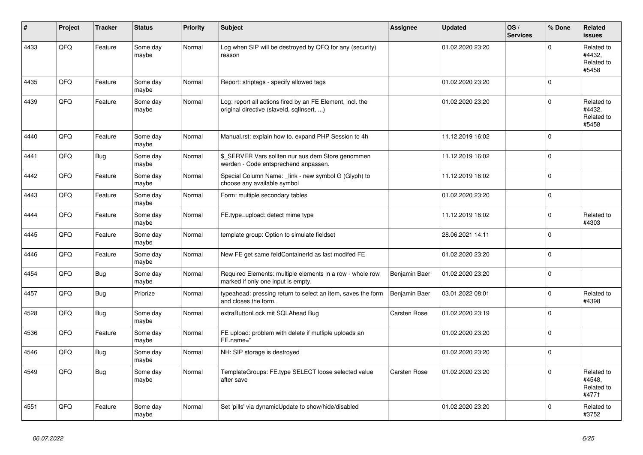| ∦    | Project | <b>Tracker</b> | <b>Status</b>     | <b>Priority</b> | <b>Subject</b>                                                                                         | Assignee            | <b>Updated</b>   | OS/<br><b>Services</b> | % Done      | Related<br><b>issues</b>                    |
|------|---------|----------------|-------------------|-----------------|--------------------------------------------------------------------------------------------------------|---------------------|------------------|------------------------|-------------|---------------------------------------------|
| 4433 | QFQ     | Feature        | Some day<br>maybe | Normal          | Log when SIP will be destroyed by QFQ for any (security)<br>reason                                     |                     | 01.02.2020 23:20 |                        | $\mathbf 0$ | Related to<br>#4432,<br>Related to<br>#5458 |
| 4435 | QFQ     | Feature        | Some day<br>maybe | Normal          | Report: striptags - specify allowed tags                                                               |                     | 01.02.2020 23:20 |                        | $\mathbf 0$ |                                             |
| 4439 | QFQ     | Feature        | Some day<br>maybe | Normal          | Log: report all actions fired by an FE Element, incl. the<br>original directive (slaveld, sqllnsert, ) |                     | 01.02.2020 23:20 |                        | $\mathsf 0$ | Related to<br>#4432.<br>Related to<br>#5458 |
| 4440 | QFQ     | Feature        | Some day<br>maybe | Normal          | Manual.rst: explain how to. expand PHP Session to 4h                                                   |                     | 11.12.2019 16:02 |                        | $\mathbf 0$ |                                             |
| 4441 | QFQ     | <b>Bug</b>     | Some day<br>maybe | Normal          | \$ SERVER Vars sollten nur aus dem Store genommen<br>werden - Code entsprechend anpassen.              |                     | 11.12.2019 16:02 |                        | $\pmb{0}$   |                                             |
| 4442 | QFQ     | Feature        | Some day<br>maybe | Normal          | Special Column Name: _link - new symbol G (Glyph) to<br>choose any available symbol                    |                     | 11.12.2019 16:02 |                        | $\mathbf 0$ |                                             |
| 4443 | QFQ     | Feature        | Some day<br>maybe | Normal          | Form: multiple secondary tables                                                                        |                     | 01.02.2020 23:20 |                        | $\mathbf 0$ |                                             |
| 4444 | QFQ     | Feature        | Some day<br>maybe | Normal          | FE.type=upload: detect mime type                                                                       |                     | 11.12.2019 16:02 |                        | $\mathbf 0$ | Related to<br>#4303                         |
| 4445 | QFQ     | Feature        | Some day<br>maybe | Normal          | template group: Option to simulate fieldset                                                            |                     | 28.06.2021 14:11 |                        | $\mathbf 0$ |                                             |
| 4446 | QFQ     | Feature        | Some day<br>maybe | Normal          | New FE get same feldContainerId as last modifed FE                                                     |                     | 01.02.2020 23:20 |                        | $\mathbf 0$ |                                             |
| 4454 | QFQ     | Bug            | Some day<br>maybe | Normal          | Required Elements: multiple elements in a row - whole row<br>marked if only one input is empty.        | Benjamin Baer       | 01.02.2020 23:20 |                        | $\mathbf 0$ |                                             |
| 4457 | QFQ     | <b>Bug</b>     | Priorize          | Normal          | typeahead: pressing return to select an item, saves the form<br>and closes the form.                   | Benjamin Baer       | 03.01.2022 08:01 |                        | $\Omega$    | Related to<br>#4398                         |
| 4528 | QFQ     | Bug            | Some day<br>maybe | Normal          | extraButtonLock mit SQLAhead Bug                                                                       | <b>Carsten Rose</b> | 01.02.2020 23:19 |                        | $\mathbf 0$ |                                             |
| 4536 | QFQ     | Feature        | Some day<br>maybe | Normal          | FE upload: problem with delete if mutliple uploads an<br>FE.name="                                     |                     | 01.02.2020 23:20 |                        | $\mathsf 0$ |                                             |
| 4546 | QFQ     | Bug            | Some day<br>maybe | Normal          | NH: SIP storage is destroyed                                                                           |                     | 01.02.2020 23:20 |                        | $\Omega$    |                                             |
| 4549 | QFQ     | Bug            | Some day<br>maybe | Normal          | TemplateGroups: FE.type SELECT loose selected value<br>after save                                      | <b>Carsten Rose</b> | 01.02.2020 23:20 |                        | $\mathbf 0$ | Related to<br>#4548,<br>Related to<br>#4771 |
| 4551 | QFQ     | Feature        | Some day<br>maybe | Normal          | Set 'pills' via dynamicUpdate to show/hide/disabled                                                    |                     | 01.02.2020 23:20 |                        | $\mathbf 0$ | Related to<br>#3752                         |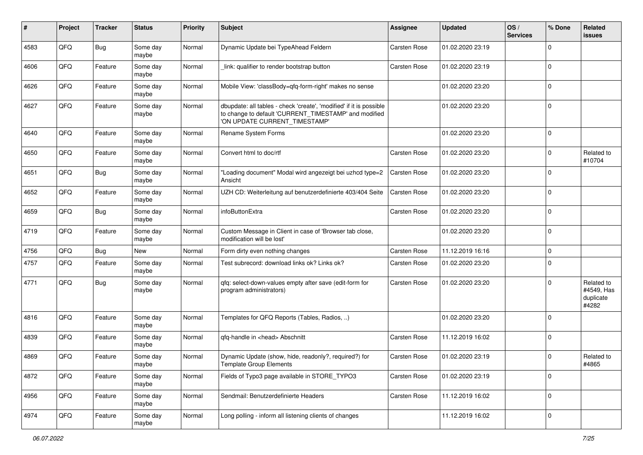| ∦    | Project | <b>Tracker</b> | <b>Status</b>     | <b>Priority</b> | <b>Subject</b>                                                                                                                                                | <b>Assignee</b>     | <b>Updated</b>   | OS/<br><b>Services</b> | % Done      | Related<br>issues                              |
|------|---------|----------------|-------------------|-----------------|---------------------------------------------------------------------------------------------------------------------------------------------------------------|---------------------|------------------|------------------------|-------------|------------------------------------------------|
| 4583 | QFQ     | Bug            | Some day<br>maybe | Normal          | Dynamic Update bei TypeAhead Feldern                                                                                                                          | <b>Carsten Rose</b> | 01.02.2020 23:19 |                        | $\Omega$    |                                                |
| 4606 | QFQ     | Feature        | Some day<br>maybe | Normal          | link: qualifier to render bootstrap button                                                                                                                    | <b>Carsten Rose</b> | 01.02.2020 23:19 |                        | $\Omega$    |                                                |
| 4626 | QFQ     | Feature        | Some day<br>maybe | Normal          | Mobile View: 'classBody=qfq-form-right' makes no sense                                                                                                        |                     | 01.02.2020 23:20 |                        | $\Omega$    |                                                |
| 4627 | QFQ     | Feature        | Some day<br>maybe | Normal          | dbupdate: all tables - check 'create', 'modified' if it is possible<br>to change to default 'CURRENT_TIMESTAMP' and modified<br>'ON UPDATE CURRENT TIMESTAMP' |                     | 01.02.2020 23:20 |                        | $\Omega$    |                                                |
| 4640 | QFQ     | Feature        | Some day<br>maybe | Normal          | Rename System Forms                                                                                                                                           |                     | 01.02.2020 23:20 |                        | $\mathbf 0$ |                                                |
| 4650 | QFQ     | Feature        | Some day<br>maybe | Normal          | Convert html to doc/rtf                                                                                                                                       | <b>Carsten Rose</b> | 01.02.2020 23:20 |                        | $\mathbf 0$ | Related to<br>#10704                           |
| 4651 | QFQ     | <b>Bug</b>     | Some day<br>maybe | Normal          | "Loading document" Modal wird angezeigt bei uzhcd type=2<br>Ansicht                                                                                           | <b>Carsten Rose</b> | 01.02.2020 23:20 |                        | $\Omega$    |                                                |
| 4652 | QFQ     | Feature        | Some day<br>maybe | Normal          | UZH CD: Weiterleitung auf benutzerdefinierte 403/404 Seite                                                                                                    | <b>Carsten Rose</b> | 01.02.2020 23:20 |                        | $\Omega$    |                                                |
| 4659 | QFQ     | Bug            | Some day<br>maybe | Normal          | infoButtonExtra                                                                                                                                               | <b>Carsten Rose</b> | 01.02.2020 23:20 |                        | $\mathbf 0$ |                                                |
| 4719 | QFQ     | Feature        | Some day<br>maybe | Normal          | Custom Message in Client in case of 'Browser tab close,<br>modification will be lost'                                                                         |                     | 01.02.2020 23:20 |                        | 0           |                                                |
| 4756 | QFQ     | Bug            | <b>New</b>        | Normal          | Form dirty even nothing changes                                                                                                                               | <b>Carsten Rose</b> | 11.12.2019 16:16 |                        | 0           |                                                |
| 4757 | QFQ     | Feature        | Some day<br>maybe | Normal          | Test subrecord: download links ok? Links ok?                                                                                                                  | <b>Carsten Rose</b> | 01.02.2020 23:20 |                        | $\Omega$    |                                                |
| 4771 | QFQ     | Bug            | Some day<br>maybe | Normal          | qfq: select-down-values empty after save (edit-form for<br>program administrators)                                                                            | <b>Carsten Rose</b> | 01.02.2020 23:20 |                        | $\Omega$    | Related to<br>#4549, Has<br>duplicate<br>#4282 |
| 4816 | QFQ     | Feature        | Some day<br>maybe | Normal          | Templates for QFQ Reports (Tables, Radios, )                                                                                                                  |                     | 01.02.2020 23:20 |                        | $\Omega$    |                                                |
| 4839 | QFQ     | Feature        | Some day<br>maybe | Normal          | qfq-handle in <head> Abschnitt</head>                                                                                                                         | Carsten Rose        | 11.12.2019 16:02 |                        | $\Omega$    |                                                |
| 4869 | QFQ     | Feature        | Some day<br>maybe | Normal          | Dynamic Update (show, hide, readonly?, required?) for<br><b>Template Group Elements</b>                                                                       | Carsten Rose        | 01.02.2020 23:19 |                        | $\Omega$    | Related to<br>#4865                            |
| 4872 | QFQ     | Feature        | Some day<br>maybe | Normal          | Fields of Typo3 page available in STORE_TYPO3                                                                                                                 | <b>Carsten Rose</b> | 01.02.2020 23:19 |                        | $\mathbf 0$ |                                                |
| 4956 | QFQ     | Feature        | Some day<br>maybe | Normal          | Sendmail: Benutzerdefinierte Headers                                                                                                                          | Carsten Rose        | 11.12.2019 16:02 |                        | 0           |                                                |
| 4974 | QFQ     | Feature        | Some day<br>maybe | Normal          | Long polling - inform all listening clients of changes                                                                                                        |                     | 11.12.2019 16:02 |                        | 0           |                                                |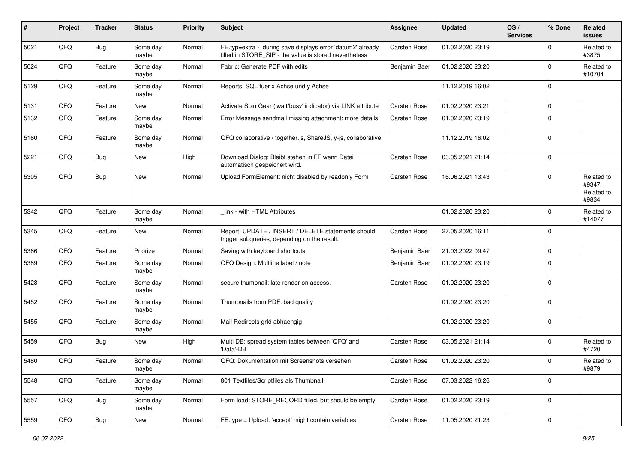| #    | Project | <b>Tracker</b> | <b>Status</b>     | <b>Priority</b> | <b>Subject</b>                                                                                                       | <b>Assignee</b>     | <b>Updated</b>   | OS/<br><b>Services</b> | % Done      | Related<br>issues                           |
|------|---------|----------------|-------------------|-----------------|----------------------------------------------------------------------------------------------------------------------|---------------------|------------------|------------------------|-------------|---------------------------------------------|
| 5021 | QFQ     | Bug            | Some day<br>maybe | Normal          | FE.typ=extra - during save displays error 'datum2' already<br>filled in STORE_SIP - the value is stored nevertheless | <b>Carsten Rose</b> | 01.02.2020 23:19 |                        | $\Omega$    | Related to<br>#3875                         |
| 5024 | QFQ     | Feature        | Some day<br>maybe | Normal          | Fabric: Generate PDF with edits                                                                                      | Benjamin Baer       | 01.02.2020 23:20 |                        | $\Omega$    | Related to<br>#10704                        |
| 5129 | QFQ     | Feature        | Some day<br>maybe | Normal          | Reports: SQL fuer x Achse und y Achse                                                                                |                     | 11.12.2019 16:02 |                        | $\Omega$    |                                             |
| 5131 | QFQ     | Feature        | New               | Normal          | Activate Spin Gear ('wait/busy' indicator) via LINK attribute                                                        | <b>Carsten Rose</b> | 01.02.2020 23:21 |                        | $\mathbf 0$ |                                             |
| 5132 | QFQ     | Feature        | Some day<br>maybe | Normal          | Error Message sendmail missing attachment: more details                                                              | <b>Carsten Rose</b> | 01.02.2020 23:19 |                        | $\Omega$    |                                             |
| 5160 | QFQ     | Feature        | Some day<br>maybe | Normal          | QFQ collaborative / together.js, ShareJS, y-js, collaborative,                                                       |                     | 11.12.2019 16:02 |                        | $\mathbf 0$ |                                             |
| 5221 | QFQ     | Bug            | <b>New</b>        | High            | Download Dialog: Bleibt stehen in FF wenn Datei<br>automatisch gespeichert wird.                                     | <b>Carsten Rose</b> | 03.05.2021 21:14 |                        | $\mathbf 0$ |                                             |
| 5305 | QFQ     | Bug            | New               | Normal          | Upload FormElement: nicht disabled by readonly Form                                                                  | <b>Carsten Rose</b> | 16.06.2021 13:43 |                        | $\Omega$    | Related to<br>#9347,<br>Related to<br>#9834 |
| 5342 | QFQ     | Feature        | Some day<br>maybe | Normal          | link - with HTML Attributes                                                                                          |                     | 01.02.2020 23:20 |                        | $\Omega$    | Related to<br>#14077                        |
| 5345 | QFQ     | Feature        | <b>New</b>        | Normal          | Report: UPDATE / INSERT / DELETE statements should<br>trigger subqueries, depending on the result.                   | <b>Carsten Rose</b> | 27.05.2020 16:11 |                        | $\mathbf 0$ |                                             |
| 5366 | QFQ     | Feature        | Priorize          | Normal          | Saving with keyboard shortcuts                                                                                       | Benjamin Baer       | 21.03.2022 09:47 |                        | 0           |                                             |
| 5389 | QFQ     | Feature        | Some day<br>maybe | Normal          | QFQ Design: Multline label / note                                                                                    | Benjamin Baer       | 01.02.2020 23:19 |                        | $\Omega$    |                                             |
| 5428 | QFQ     | Feature        | Some day<br>maybe | Normal          | secure thumbnail: late render on access.                                                                             | <b>Carsten Rose</b> | 01.02.2020 23:20 |                        | $\Omega$    |                                             |
| 5452 | QFQ     | Feature        | Some day<br>maybe | Normal          | Thumbnails from PDF: bad quality                                                                                     |                     | 01.02.2020 23:20 |                        | $\Omega$    |                                             |
| 5455 | QFQ     | Feature        | Some day<br>maybe | Normal          | Mail Redirects grld abhaengig                                                                                        |                     | 01.02.2020 23:20 |                        | $\mathbf 0$ |                                             |
| 5459 | QFQ     | Bug            | <b>New</b>        | High            | Multi DB: spread system tables between 'QFQ' and<br>'Data'-DB                                                        | <b>Carsten Rose</b> | 03.05.2021 21:14 |                        | $\Omega$    | Related to<br>#4720                         |
| 5480 | QFQ     | Feature        | Some day<br>maybe | Normal          | QFQ: Dokumentation mit Screenshots versehen                                                                          | <b>Carsten Rose</b> | 01.02.2020 23:20 |                        | $\Omega$    | Related to<br>#9879                         |
| 5548 | QFQ     | Feature        | Some day<br>maybe | Normal          | 801 Textfiles/Scriptfiles als Thumbnail                                                                              | Carsten Rose        | 07.03.2022 16:26 |                        | $\mathbf 0$ |                                             |
| 5557 | QFG     | Bug            | Some day<br>maybe | Normal          | Form load: STORE_RECORD filled, but should be empty                                                                  | Carsten Rose        | 01.02.2020 23:19 |                        | $\mathbf 0$ |                                             |
| 5559 | QFQ     | Bug            | New               | Normal          | FE.type = Upload: 'accept' might contain variables                                                                   | Carsten Rose        | 11.05.2020 21:23 |                        | $\mathbf 0$ |                                             |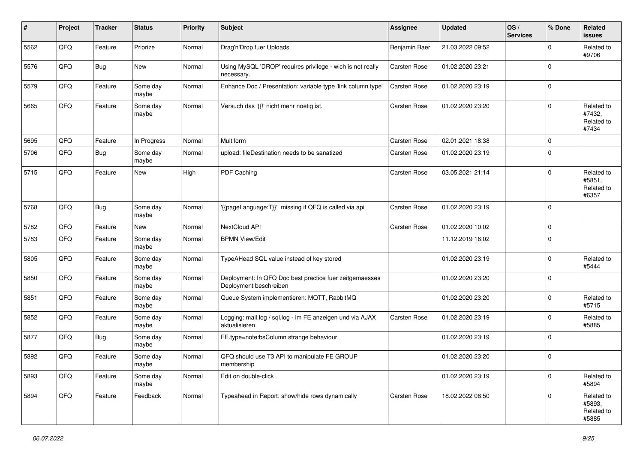| #    | Project | <b>Tracker</b> | <b>Status</b>     | <b>Priority</b> | <b>Subject</b>                                                                    | <b>Assignee</b>     | <b>Updated</b>   | OS/<br><b>Services</b> | % Done      | Related<br>issues                           |
|------|---------|----------------|-------------------|-----------------|-----------------------------------------------------------------------------------|---------------------|------------------|------------------------|-------------|---------------------------------------------|
| 5562 | QFQ     | Feature        | Priorize          | Normal          | Drag'n'Drop fuer Uploads                                                          | Benjamin Baer       | 21.03.2022 09:52 |                        | $\Omega$    | Related to<br>#9706                         |
| 5576 | QFQ     | Bug            | New               | Normal          | Using MySQL 'DROP' requires privilege - wich is not really<br>necessary.          | <b>Carsten Rose</b> | 01.02.2020 23:21 |                        | $\Omega$    |                                             |
| 5579 | QFQ     | Feature        | Some day<br>maybe | Normal          | Enhance Doc / Presentation: variable type 'link column type'                      | <b>Carsten Rose</b> | 01.02.2020 23:19 |                        | $\Omega$    |                                             |
| 5665 | QFQ     | Feature        | Some day<br>maybe | Normal          | Versuch das '{{!' nicht mehr noetig ist.                                          | <b>Carsten Rose</b> | 01.02.2020 23:20 |                        | $\Omega$    | Related to<br>#7432,<br>Related to<br>#7434 |
| 5695 | QFQ     | Feature        | In Progress       | Normal          | Multiform                                                                         | <b>Carsten Rose</b> | 02.01.2021 18:38 |                        | $\Omega$    |                                             |
| 5706 | QFQ     | Bug            | Some day<br>maybe | Normal          | upload: fileDestination needs to be sanatized                                     | <b>Carsten Rose</b> | 01.02.2020 23:19 |                        | $\Omega$    |                                             |
| 5715 | QFQ     | Feature        | New               | High            | PDF Caching                                                                       | Carsten Rose        | 03.05.2021 21:14 |                        | $\Omega$    | Related to<br>#5851,<br>Related to<br>#6357 |
| 5768 | QFQ     | Bug            | Some day<br>maybe | Normal          | '{{pageLanguage:T}}' missing if QFQ is called via api                             | <b>Carsten Rose</b> | 01.02.2020 23:19 |                        | $\mathbf 0$ |                                             |
| 5782 | QFQ     | Feature        | <b>New</b>        | Normal          | NextCloud API                                                                     | Carsten Rose        | 01.02.2020 10:02 |                        | $\mathbf 0$ |                                             |
| 5783 | QFQ     | Feature        | Some day<br>maybe | Normal          | <b>BPMN View/Edit</b>                                                             |                     | 11.12.2019 16:02 |                        | $\Omega$    |                                             |
| 5805 | QFQ     | Feature        | Some day<br>maybe | Normal          | TypeAHead SQL value instead of key stored                                         |                     | 01.02.2020 23:19 |                        | 0           | Related to<br>#5444                         |
| 5850 | QFQ     | Feature        | Some day<br>maybe | Normal          | Deployment: In QFQ Doc best practice fuer zeitgemaesses<br>Deployment beschreiben |                     | 01.02.2020 23:20 |                        | $\Omega$    |                                             |
| 5851 | QFQ     | Feature        | Some day<br>maybe | Normal          | Queue System implementieren: MQTT, RabbitMQ                                       |                     | 01.02.2020 23:20 |                        | $\Omega$    | Related to<br>#5715                         |
| 5852 | QFQ     | Feature        | Some day<br>maybe | Normal          | Logging: mail.log / sql.log - im FE anzeigen und via AJAX<br>aktualisieren        | <b>Carsten Rose</b> | 01.02.2020 23:19 |                        | $\Omega$    | Related to<br>#5885                         |
| 5877 | QFQ     | Bug            | Some day<br>maybe | Normal          | FE.type=note:bsColumn strange behaviour                                           |                     | 01.02.2020 23:19 |                        | $\Omega$    |                                             |
| 5892 | QFQ     | Feature        | Some day<br>maybe | Normal          | QFQ should use T3 API to manipulate FE GROUP<br>membership                        |                     | 01.02.2020 23:20 |                        | $\Omega$    |                                             |
| 5893 | QFQ     | Feature        | Some day<br>maybe | Normal          | Edit on double-click                                                              |                     | 01.02.2020 23:19 |                        | $\mathbf 0$ | Related to<br>#5894                         |
| 5894 | QFQ     | Feature        | Feedback          | Normal          | Typeahead in Report: show/hide rows dynamically                                   | Carsten Rose        | 18.02.2022 08:50 |                        | $\mathbf 0$ | Related to<br>#5893,<br>Related to<br>#5885 |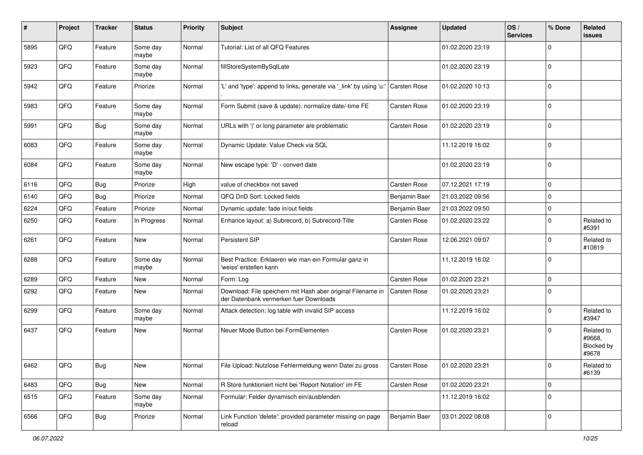| #    | Project | <b>Tracker</b> | <b>Status</b>     | <b>Priority</b> | <b>Subject</b>                                                                                        | <b>Assignee</b>     | <b>Updated</b>   | OS/<br><b>Services</b> | % Done      | Related<br>issues                           |
|------|---------|----------------|-------------------|-----------------|-------------------------------------------------------------------------------------------------------|---------------------|------------------|------------------------|-------------|---------------------------------------------|
| 5895 | QFQ     | Feature        | Some day<br>maybe | Normal          | Tutorial: List of all QFQ Features                                                                    |                     | 01.02.2020 23:19 |                        | $\Omega$    |                                             |
| 5923 | QFQ     | Feature        | Some day<br>maybe | Normal          | fillStoreSystemBySqlLate                                                                              |                     | 01.02.2020 23:19 |                        | 0           |                                             |
| 5942 | QFQ     | Feature        | Priorize          | Normal          | 'L' and 'type': append to links, generate via '_link' by using 'u:'                                   | <b>Carsten Rose</b> | 01.02.2020 10:13 |                        | $\Omega$    |                                             |
| 5983 | QFQ     | Feature        | Some day<br>maybe | Normal          | Form Submit (save & update): normalize date/-time FE                                                  | <b>Carsten Rose</b> | 01.02.2020 23:19 |                        | $\mathbf 0$ |                                             |
| 5991 | QFQ     | Bug            | Some day<br>maybe | Normal          | URLs with ' ' or long parameter are problematic                                                       | <b>Carsten Rose</b> | 01.02.2020 23:19 |                        | $\Omega$    |                                             |
| 6083 | QFQ     | Feature        | Some day<br>maybe | Normal          | Dynamic Update: Value Check via SQL                                                                   |                     | 11.12.2019 16:02 |                        | $\Omega$    |                                             |
| 6084 | QFQ     | Feature        | Some day<br>maybe | Normal          | New escape type: 'D' - convert date                                                                   |                     | 01.02.2020 23:19 |                        | $\Omega$    |                                             |
| 6116 | QFQ     | Bug            | Priorize          | High            | value of checkbox not saved                                                                           | <b>Carsten Rose</b> | 07.12.2021 17:19 |                        | 0           |                                             |
| 6140 | QFQ     | Bug            | Priorize          | Normal          | QFQ DnD Sort: Locked fields                                                                           | Benjamin Baer       | 21.03.2022 09:56 |                        | 0           |                                             |
| 6224 | QFQ     | Feature        | Priorize          | Normal          | Dynamic update: fade in/out fields                                                                    | Benjamin Baer       | 21.03.2022 09:50 |                        | $\Omega$    |                                             |
| 6250 | QFQ     | Feature        | In Progress       | Normal          | Enhance layout: a) Subrecord, b) Subrecord-Title                                                      | <b>Carsten Rose</b> | 01.02.2020 23:22 |                        | $\mathbf 0$ | Related to<br>#5391                         |
| 6261 | QFQ     | Feature        | <b>New</b>        | Normal          | Persistent SIP                                                                                        | <b>Carsten Rose</b> | 12.06.2021 09:07 |                        | $\Omega$    | Related to<br>#10819                        |
| 6288 | QFQ     | Feature        | Some day<br>maybe | Normal          | Best Practice: Erklaeren wie man ein Formular ganz in<br>'weiss' erstellen kann                       |                     | 11.12.2019 16:02 |                        | $\mathbf 0$ |                                             |
| 6289 | QFQ     | Feature        | New               | Normal          | Form: Log                                                                                             | <b>Carsten Rose</b> | 01.02.2020 23:21 |                        | 0           |                                             |
| 6292 | QFQ     | Feature        | New               | Normal          | Download: File speichern mit Hash aber original Filename in<br>der Datenbank vermerken fuer Downloads | <b>Carsten Rose</b> | 01.02.2020 23:21 |                        | $\Omega$    |                                             |
| 6299 | QFQ     | Feature        | Some day<br>maybe | Normal          | Attack detection: log table with invalid SIP access                                                   |                     | 11.12.2019 16:02 |                        | $\Omega$    | Related to<br>#3947                         |
| 6437 | QFQ     | Feature        | <b>New</b>        | Normal          | Neuer Mode Button bei FormElementen                                                                   | <b>Carsten Rose</b> | 01.02.2020 23:21 |                        | $\Omega$    | Related to<br>#9668,<br>Blocked by<br>#9678 |
| 6462 | QFQ     | Bug            | <b>New</b>        | Normal          | File Upload: Nutzlose Fehlermeldung wenn Datei zu gross                                               | Carsten Rose        | 01.02.2020 23:21 |                        | O           | Related to<br>#6139                         |
| 6483 | QFQ     | Bug            | New               | Normal          | R Store funktioniert nicht bei 'Report Notation' im FE                                                | Carsten Rose        | 01.02.2020 23:21 |                        | 0           |                                             |
| 6515 | QFQ     | Feature        | Some day<br>maybe | Normal          | Formular: Felder dynamisch ein/ausblenden                                                             |                     | 11.12.2019 16:02 |                        | $\mathbf 0$ |                                             |
| 6566 | QFQ     | Bug            | Priorize          | Normal          | Link Function 'delete': provided parameter missing on page<br>reload                                  | Benjamin Baer       | 03.01.2022 08:08 |                        | 0           |                                             |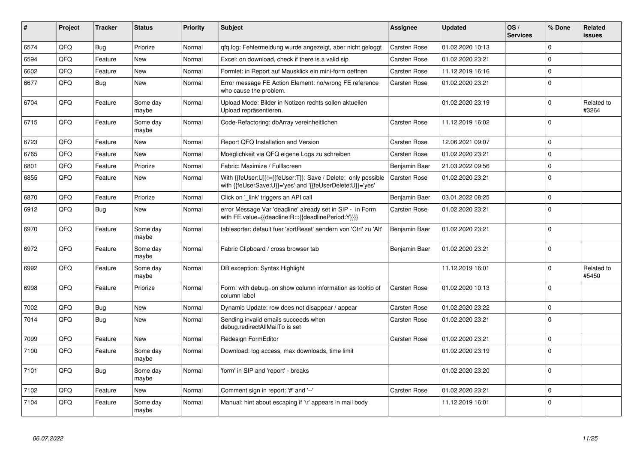| #    | Project | <b>Tracker</b> | <b>Status</b>     | Priority | <b>Subject</b>                                                                                                             | <b>Assignee</b>     | <b>Updated</b>   | OS/<br><b>Services</b> | % Done      | Related<br><b>issues</b> |
|------|---------|----------------|-------------------|----------|----------------------------------------------------------------------------------------------------------------------------|---------------------|------------------|------------------------|-------------|--------------------------|
| 6574 | QFQ     | Bug            | Priorize          | Normal   | gfg.log: Fehlermeldung wurde angezeigt, aber nicht geloggt                                                                 | Carsten Rose        | 01.02.2020 10:13 |                        | $\Omega$    |                          |
| 6594 | QFQ     | Feature        | New               | Normal   | Excel: on download, check if there is a valid sip                                                                          | <b>Carsten Rose</b> | 01.02.2020 23:21 |                        | $\Omega$    |                          |
| 6602 | QFQ     | Feature        | <b>New</b>        | Normal   | Formlet: in Report auf Mausklick ein mini-form oeffnen                                                                     | Carsten Rose        | 11.12.2019 16:16 |                        | $\Omega$    |                          |
| 6677 | QFQ     | Bug            | <b>New</b>        | Normal   | Error message FE Action Element: no/wrong FE reference<br>who cause the problem.                                           | <b>Carsten Rose</b> | 01.02.2020 23:21 |                        | $\Omega$    |                          |
| 6704 | QFQ     | Feature        | Some day<br>maybe | Normal   | Upload Mode: Bilder in Notizen rechts sollen aktuellen<br>Upload repräsentieren.                                           |                     | 01.02.2020 23:19 |                        | $\Omega$    | Related to<br>#3264      |
| 6715 | QFQ     | Feature        | Some day<br>maybe | Normal   | Code-Refactoring: dbArray vereinheitlichen                                                                                 | <b>Carsten Rose</b> | 11.12.2019 16:02 |                        | $\Omega$    |                          |
| 6723 | QFQ     | Feature        | <b>New</b>        | Normal   | Report QFQ Installation and Version                                                                                        | <b>Carsten Rose</b> | 12.06.2021 09:07 |                        | $\Omega$    |                          |
| 6765 | QFQ     | Feature        | <b>New</b>        | Normal   | Moeglichkeit via QFQ eigene Logs zu schreiben                                                                              | Carsten Rose        | 01.02.2020 23:21 |                        | $\Omega$    |                          |
| 6801 | QFQ     | Feature        | Priorize          | Normal   | Fabric: Maximize / FullIscreen                                                                                             | Benjamin Baer       | 21.03.2022 09:56 |                        | $\Omega$    |                          |
| 6855 | QFQ     | Feature        | New               | Normal   | With {{feUser:U}}!={{feUser:T}}: Save / Delete: only possible<br>with {{feUserSave:U}}='yes' and '{{feUserDelete:U}}='yes' | <b>Carsten Rose</b> | 01.02.2020 23:21 |                        | $\Omega$    |                          |
| 6870 | QFQ     | Feature        | Priorize          | Normal   | Click on '_link' triggers an API call                                                                                      | Benjamin Baer       | 03.01.2022 08:25 |                        | $\mathbf 0$ |                          |
| 6912 | QFQ     | Bug            | <b>New</b>        | Normal   | error Message Var 'deadline' already set in SIP - in Form<br>with FE.value={{deadline:R:::{{deadlinePeriod:Y}}}}           | <b>Carsten Rose</b> | 01.02.2020 23:21 |                        | $\Omega$    |                          |
| 6970 | QFQ     | Feature        | Some day<br>maybe | Normal   | tablesorter: default fuer 'sortReset' aendern von 'Ctrl' zu 'Alt'                                                          | Benjamin Baer       | 01.02.2020 23:21 |                        | $\Omega$    |                          |
| 6972 | QFQ     | Feature        | Some day<br>maybe | Normal   | Fabric Clipboard / cross browser tab                                                                                       | Benjamin Baer       | 01.02.2020 23:21 |                        | $\Omega$    |                          |
| 6992 | QFQ     | Feature        | Some day<br>maybe | Normal   | DB exception: Syntax Highlight                                                                                             |                     | 11.12.2019 16:01 |                        | $\Omega$    | Related to<br>#5450      |
| 6998 | QFQ     | Feature        | Priorize          | Normal   | Form: with debug=on show column information as tooltip of<br>column label                                                  | <b>Carsten Rose</b> | 01.02.2020 10:13 |                        | $\Omega$    |                          |
| 7002 | QFQ     | Bug            | <b>New</b>        | Normal   | Dynamic Update: row does not disappear / appear                                                                            | Carsten Rose        | 01.02.2020 23:22 |                        | $\Omega$    |                          |
| 7014 | QFQ     | Bug            | <b>New</b>        | Normal   | Sending invalid emails succeeds when<br>debug.redirectAllMailTo is set                                                     | <b>Carsten Rose</b> | 01.02.2020 23:21 |                        | $\Omega$    |                          |
| 7099 | QFQ     | Feature        | <b>New</b>        | Normal   | Redesign FormEditor                                                                                                        | <b>Carsten Rose</b> | 01.02.2020 23:21 |                        | $\Omega$    |                          |
| 7100 | QFQ     | Feature        | Some day<br>maybe | Normal   | Download: log access, max downloads, time limit                                                                            |                     | 01.02.2020 23:19 |                        | $\Omega$    |                          |
| 7101 | QFQ     | Bug            | Some day<br>maybe | Normal   | 'form' in SIP and 'report' - breaks                                                                                        |                     | 01.02.2020 23:20 |                        | $\Omega$    |                          |
| 7102 | QFQ     | Feature        | New               | Normal   | Comment sign in report: '#' and '--'                                                                                       | <b>Carsten Rose</b> | 01.02.2020 23:21 |                        | $\mathbf 0$ |                          |
| 7104 | QFQ     | Feature        | Some day<br>maybe | Normal   | Manual: hint about escaping if '\r' appears in mail body                                                                   |                     | 11.12.2019 16:01 |                        | $\Omega$    |                          |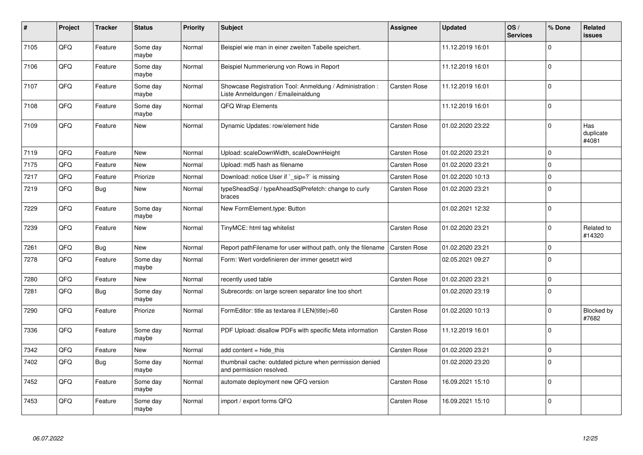| #    | Project | <b>Tracker</b> | <b>Status</b>     | <b>Priority</b> | <b>Subject</b>                                                                                 | <b>Assignee</b>     | <b>Updated</b>   | OS/<br><b>Services</b> | % Done      | Related<br>issues         |
|------|---------|----------------|-------------------|-----------------|------------------------------------------------------------------------------------------------|---------------------|------------------|------------------------|-------------|---------------------------|
| 7105 | QFQ     | Feature        | Some day<br>maybe | Normal          | Beispiel wie man in einer zweiten Tabelle speichert.                                           |                     | 11.12.2019 16:01 |                        | $\Omega$    |                           |
| 7106 | QFQ     | Feature        | Some day<br>maybe | Normal          | Beispiel Nummerierung von Rows in Report                                                       |                     | 11.12.2019 16:01 |                        | $\Omega$    |                           |
| 7107 | QFQ     | Feature        | Some day<br>maybe | Normal          | Showcase Registration Tool: Anmeldung / Administration :<br>Liste Anmeldungen / Emaileinaldung | <b>Carsten Rose</b> | 11.12.2019 16:01 |                        | $\Omega$    |                           |
| 7108 | QFQ     | Feature        | Some day<br>maybe | Normal          | QFQ Wrap Elements                                                                              |                     | 11.12.2019 16:01 |                        | $\Omega$    |                           |
| 7109 | QFQ     | Feature        | <b>New</b>        | Normal          | Dynamic Updates: row/element hide                                                              | <b>Carsten Rose</b> | 01.02.2020 23:22 |                        | $\Omega$    | Has<br>duplicate<br>#4081 |
| 7119 | QFQ     | Feature        | New               | Normal          | Upload: scaleDownWidth, scaleDownHeight                                                        | Carsten Rose        | 01.02.2020 23:21 |                        | $\Omega$    |                           |
| 7175 | QFQ     | Feature        | New               | Normal          | Upload: md5 hash as filename                                                                   | Carsten Rose        | 01.02.2020 23:21 |                        | $\Omega$    |                           |
| 7217 | QFQ     | Feature        | Priorize          | Normal          | Download: notice User if `_sip=?` is missing                                                   | <b>Carsten Rose</b> | 01.02.2020 10:13 |                        | $\Omega$    |                           |
| 7219 | QFQ     | Bug            | <b>New</b>        | Normal          | typeSheadSql / typeAheadSqlPrefetch: change to curly<br>braces                                 | <b>Carsten Rose</b> | 01.02.2020 23:21 |                        | $\mathbf 0$ |                           |
| 7229 | QFQ     | Feature        | Some day<br>maybe | Normal          | New FormElement.type: Button                                                                   |                     | 01.02.2021 12:32 |                        | $\Omega$    |                           |
| 7239 | QFQ     | Feature        | New               | Normal          | TinyMCE: html tag whitelist                                                                    | Carsten Rose        | 01.02.2020 23:21 |                        | $\Omega$    | Related to<br>#14320      |
| 7261 | QFQ     | Bug            | <b>New</b>        | Normal          | Report pathFilename for user without path, only the filename                                   | <b>Carsten Rose</b> | 01.02.2020 23:21 |                        | $\Omega$    |                           |
| 7278 | QFQ     | Feature        | Some day<br>maybe | Normal          | Form: Wert vordefinieren der immer gesetzt wird                                                |                     | 02.05.2021 09:27 |                        | $\Omega$    |                           |
| 7280 | QFQ     | Feature        | <b>New</b>        | Normal          | recently used table                                                                            | Carsten Rose        | 01.02.2020 23:21 |                        | 0           |                           |
| 7281 | QFQ     | Bug            | Some day<br>maybe | Normal          | Subrecords: on large screen separator line too short                                           |                     | 01.02.2020 23:19 |                        | $\Omega$    |                           |
| 7290 | QFQ     | Feature        | Priorize          | Normal          | FormEditor: title as textarea if LEN(title)>60                                                 | <b>Carsten Rose</b> | 01.02.2020 10:13 |                        | $\Omega$    | Blocked by<br>#7682       |
| 7336 | QFQ     | Feature        | Some day<br>maybe | Normal          | PDF Upload: disallow PDFs with specific Meta information                                       | <b>Carsten Rose</b> | 11.12.2019 16:01 |                        | $\Omega$    |                           |
| 7342 | QFQ     | Feature        | New               | Normal          | add content = hide this                                                                        | Carsten Rose        | 01.02.2020 23:21 |                        | 0           |                           |
| 7402 | QFQ     | Bug            | Some day<br>maybe | Normal          | thumbnail cache: outdated picture when permission denied<br>and permission resolved.           |                     | 01.02.2020 23:20 |                        | $\Omega$    |                           |
| 7452 | QFQ     | Feature        | Some day<br>maybe | Normal          | automate deployment new QFQ version                                                            | Carsten Rose        | 16.09.2021 15:10 |                        | $\Omega$    |                           |
| 7453 | QFQ     | Feature        | Some day<br>maybe | Normal          | import / export forms QFQ                                                                      | <b>Carsten Rose</b> | 16.09.2021 15:10 |                        | $\Omega$    |                           |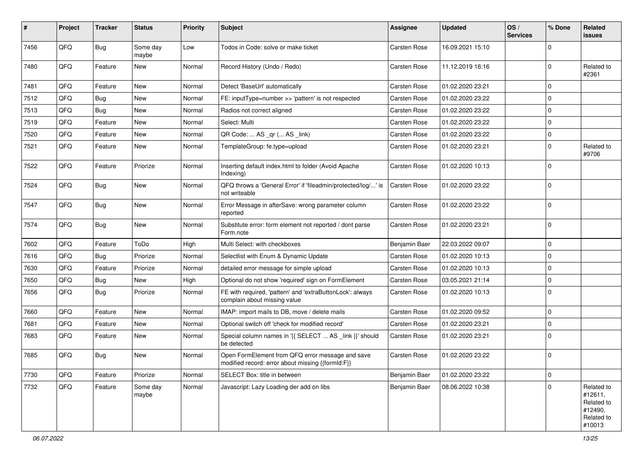| #    | Project | <b>Tracker</b> | <b>Status</b>     | <b>Priority</b> | <b>Subject</b>                                                                                        | <b>Assignee</b>     | <b>Updated</b>   | OS/<br><b>Services</b> | % Done      | Related<br>issues                                                      |
|------|---------|----------------|-------------------|-----------------|-------------------------------------------------------------------------------------------------------|---------------------|------------------|------------------------|-------------|------------------------------------------------------------------------|
| 7456 | QFQ     | Bug            | Some day<br>maybe | Low             | Todos in Code: solve or make ticket                                                                   | <b>Carsten Rose</b> | 16.09.2021 15:10 |                        | 0           |                                                                        |
| 7480 | QFQ     | Feature        | New               | Normal          | Record History (Undo / Redo)                                                                          | <b>Carsten Rose</b> | 11.12.2019 16:16 |                        | $\Omega$    | Related to<br>#2361                                                    |
| 7481 | QFQ     | Feature        | <b>New</b>        | Normal          | Detect 'BaseUrl' automatically                                                                        | <b>Carsten Rose</b> | 01.02.2020 23:21 |                        | 0           |                                                                        |
| 7512 | QFQ     | Bug            | <b>New</b>        | Normal          | FE: inputType=number >> 'pattern' is not respected                                                    | <b>Carsten Rose</b> | 01.02.2020 23:22 |                        | $\Omega$    |                                                                        |
| 7513 | QFQ     | Bug            | New               | Normal          | Radios not correct aligned                                                                            | <b>Carsten Rose</b> | 01.02.2020 23:22 |                        | $\mathbf 0$ |                                                                        |
| 7519 | QFQ     | Feature        | New               | Normal          | Select: Multi                                                                                         | <b>Carsten Rose</b> | 01.02.2020 23:22 |                        | $\Omega$    |                                                                        |
| 7520 | QFQ     | Feature        | <b>New</b>        | Normal          | QR Code:  AS _qr ( AS _link)                                                                          | <b>Carsten Rose</b> | 01.02.2020 23:22 |                        | 0           |                                                                        |
| 7521 | QFQ     | Feature        | New               | Normal          | TemplateGroup: fe.type=upload                                                                         | <b>Carsten Rose</b> | 01.02.2020 23:21 |                        | $\Omega$    | Related to<br>#9706                                                    |
| 7522 | QFQ     | Feature        | Priorize          | Normal          | Inserting default index.html to folder (Avoid Apache<br>Indexing)                                     | <b>Carsten Rose</b> | 01.02.2020 10:13 |                        | $\Omega$    |                                                                        |
| 7524 | QFQ     | Bug            | New               | Normal          | QFQ throws a 'General Error' if 'fileadmin/protected/log/' is<br>not writeable                        | <b>Carsten Rose</b> | 01.02.2020 23:22 |                        | $\Omega$    |                                                                        |
| 7547 | QFQ     | Bug            | <b>New</b>        | Normal          | Error Message in afterSave: wrong parameter column<br>reported                                        | <b>Carsten Rose</b> | 01.02.2020 23:22 |                        | $\Omega$    |                                                                        |
| 7574 | QFQ     | Bug            | New               | Normal          | Substitute error: form element not reported / dont parse<br>Form.note                                 | <b>Carsten Rose</b> | 01.02.2020 23:21 |                        | $\Omega$    |                                                                        |
| 7602 | QFQ     | Feature        | ToDo              | High            | Multi Select: with checkboxes                                                                         | Benjamin Baer       | 22.03.2022 09:07 |                        | $\mathbf 0$ |                                                                        |
| 7616 | QFQ     | Bug            | Priorize          | Normal          | Selectlist with Enum & Dynamic Update                                                                 | <b>Carsten Rose</b> | 01.02.2020 10:13 |                        | $\mathbf 0$ |                                                                        |
| 7630 | QFQ     | Feature        | Priorize          | Normal          | detailed error message for simple upload                                                              | <b>Carsten Rose</b> | 01.02.2020 10:13 |                        | $\Omega$    |                                                                        |
| 7650 | QFQ     | <b>Bug</b>     | <b>New</b>        | High            | Optional do not show 'required' sign on FormElement                                                   | <b>Carsten Rose</b> | 03.05.2021 21:14 |                        | $\mathbf 0$ |                                                                        |
| 7656 | QFQ     | Bug            | Priorize          | Normal          | FE with required, 'pattern' and 'extraButtonLock': always<br>complain about missing value             | <b>Carsten Rose</b> | 01.02.2020 10:13 |                        | $\Omega$    |                                                                        |
| 7660 | QFQ     | Feature        | <b>New</b>        | Normal          | IMAP: import mails to DB, move / delete mails                                                         | <b>Carsten Rose</b> | 01.02.2020 09:52 |                        | $\mathbf 0$ |                                                                        |
| 7681 | QFQ     | Feature        | New               | Normal          | Optional switch off 'check for modified record'                                                       | <b>Carsten Rose</b> | 01.02.2020 23:21 |                        | $\Omega$    |                                                                        |
| 7683 | QFQ     | Feature        | New               | Normal          | Special column names in '{{ SELECT  AS _link }}' should<br>be detected                                | <b>Carsten Rose</b> | 01.02.2020 23:21 |                        | 0           |                                                                        |
| 7685 | QFQ     | Bug            | <b>New</b>        | Normal          | Open FormElement from QFQ error message and save<br>modified record: error about missing {{formId:F}} | <b>Carsten Rose</b> | 01.02.2020 23:22 |                        | $\Omega$    |                                                                        |
| 7730 | QFQ     | Feature        | Priorize          | Normal          | SELECT Box: title in between                                                                          | Benjamin Baer       | 01.02.2020 23:22 |                        | 0           |                                                                        |
| 7732 | QFQ     | Feature        | Some day<br>maybe | Normal          | Javascript: Lazy Loading der add on libs                                                              | Benjamin Baer       | 08.06.2022 10:38 |                        | $\mathbf 0$ | Related to<br>#12611,<br>Related to<br>#12490,<br>Related to<br>#10013 |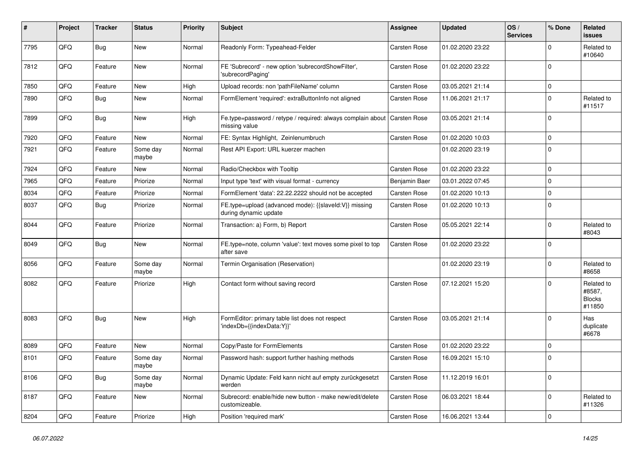| ∦    | Project | <b>Tracker</b> | <b>Status</b>     | <b>Priority</b> | <b>Subject</b>                                                                 | <b>Assignee</b>     | <b>Updated</b>   | OS/<br><b>Services</b> | % Done      | Related<br><b>issues</b>                        |
|------|---------|----------------|-------------------|-----------------|--------------------------------------------------------------------------------|---------------------|------------------|------------------------|-------------|-------------------------------------------------|
| 7795 | QFQ     | Bug            | <b>New</b>        | Normal          | Readonly Form: Typeahead-Felder                                                | <b>Carsten Rose</b> | 01.02.2020 23:22 |                        | $\Omega$    | Related to<br>#10640                            |
| 7812 | QFQ     | Feature        | New               | Normal          | FE 'Subrecord' - new option 'subrecordShowFilter',<br>'subrecordPaging'        | <b>Carsten Rose</b> | 01.02.2020 23:22 |                        | $\Omega$    |                                                 |
| 7850 | QFQ     | Feature        | <b>New</b>        | High            | Upload records: non 'pathFileName' column                                      | <b>Carsten Rose</b> | 03.05.2021 21:14 |                        | $\mathbf 0$ |                                                 |
| 7890 | QFQ     | Bug            | New               | Normal          | FormElement 'required': extraButtonInfo not aligned                            | <b>Carsten Rose</b> | 11.06.2021 21:17 |                        | $\Omega$    | Related to<br>#11517                            |
| 7899 | QFQ     | Bug            | <b>New</b>        | High            | Fe.type=password / retype / required: always complain about<br>missing value   | <b>Carsten Rose</b> | 03.05.2021 21:14 |                        | $\Omega$    |                                                 |
| 7920 | QFQ     | Feature        | <b>New</b>        | Normal          | FE: Syntax Highlight, Zeinlenumbruch                                           | Carsten Rose        | 01.02.2020 10:03 |                        | $\mathbf 0$ |                                                 |
| 7921 | QFQ     | Feature        | Some day<br>maybe | Normal          | Rest API Export: URL kuerzer machen                                            |                     | 01.02.2020 23:19 |                        | $\Omega$    |                                                 |
| 7924 | QFQ     | Feature        | <b>New</b>        | Normal          | Radio/Checkbox with Tooltip                                                    | <b>Carsten Rose</b> | 01.02.2020 23:22 |                        | $\mathbf 0$ |                                                 |
| 7965 | QFQ     | Feature        | Priorize          | Normal          | Input type 'text' with visual format - currency                                | Benjamin Baer       | 03.01.2022 07:45 |                        | $\Omega$    |                                                 |
| 8034 | QFQ     | Feature        | Priorize          | Normal          | FormElement 'data': 22.22.2222 should not be accepted                          | <b>Carsten Rose</b> | 01.02.2020 10:13 |                        | $\mathbf 0$ |                                                 |
| 8037 | QFQ     | Bug            | Priorize          | Normal          | FE.type=upload (advanced mode): {{slaveld:V}} missing<br>during dynamic update | Carsten Rose        | 01.02.2020 10:13 |                        | $\Omega$    |                                                 |
| 8044 | QFQ     | Feature        | Priorize          | Normal          | Transaction: a) Form, b) Report                                                | Carsten Rose        | 05.05.2021 22:14 |                        | $\Omega$    | Related to<br>#8043                             |
| 8049 | QFQ     | <b>Bug</b>     | <b>New</b>        | Normal          | FE.type=note, column 'value': text moves some pixel to top<br>after save       | <b>Carsten Rose</b> | 01.02.2020 23:22 |                        | $\Omega$    |                                                 |
| 8056 | QFQ     | Feature        | Some day<br>maybe | Normal          | Termin Organisation (Reservation)                                              |                     | 01.02.2020 23:19 |                        | $\Omega$    | Related to<br>#8658                             |
| 8082 | QFQ     | Feature        | Priorize          | High            | Contact form without saving record                                             | <b>Carsten Rose</b> | 07.12.2021 15:20 |                        | $\Omega$    | Related to<br>#8587,<br><b>Blocks</b><br>#11850 |
| 8083 | QFQ     | Bug            | <b>New</b>        | High            | FormEditor: primary table list does not respect<br>'indexDb={{indexData:Y}}'   | <b>Carsten Rose</b> | 03.05.2021 21:14 |                        | $\Omega$    | Has<br>duplicate<br>#6678                       |
| 8089 | QFQ     | Feature        | <b>New</b>        | Normal          | Copy/Paste for FormElements                                                    | <b>Carsten Rose</b> | 01.02.2020 23:22 |                        | $\mathbf 0$ |                                                 |
| 8101 | QFQ     | Feature        | Some day<br>maybe | Normal          | Password hash: support further hashing methods                                 | <b>Carsten Rose</b> | 16.09.2021 15:10 |                        | 0           |                                                 |
| 8106 | QFQ     | <b>Bug</b>     | Some day<br>maybe | Normal          | Dynamic Update: Feld kann nicht auf empty zurückgesetzt<br>werden              | <b>Carsten Rose</b> | 11.12.2019 16:01 |                        | $\mathbf 0$ |                                                 |
| 8187 | QFQ     | Feature        | New               | Normal          | Subrecord: enable/hide new button - make new/edit/delete<br>customizeable.     | Carsten Rose        | 06.03.2021 18:44 |                        | $\Omega$    | Related to<br>#11326                            |
| 8204 | QFG     | Feature        | Priorize          | High            | Position 'required mark'                                                       | Carsten Rose        | 16.06.2021 13:44 |                        | $\mathbf 0$ |                                                 |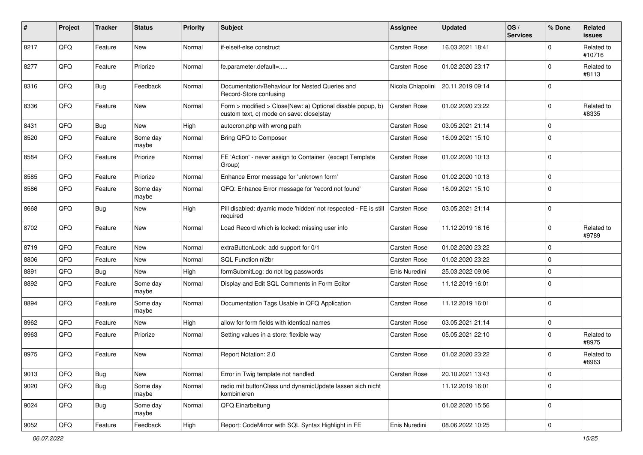| #    | Project | <b>Tracker</b> | <b>Status</b>     | <b>Priority</b> | <b>Subject</b>                                                                                         | <b>Assignee</b>     | <b>Updated</b>   | OS/<br><b>Services</b> | % Done      | Related<br>issues    |
|------|---------|----------------|-------------------|-----------------|--------------------------------------------------------------------------------------------------------|---------------------|------------------|------------------------|-------------|----------------------|
| 8217 | QFQ     | Feature        | <b>New</b>        | Normal          | if-elseif-else construct                                                                               | Carsten Rose        | 16.03.2021 18:41 |                        | $\Omega$    | Related to<br>#10716 |
| 8277 | QFQ     | Feature        | Priorize          | Normal          | fe.parameter.default=                                                                                  | <b>Carsten Rose</b> | 01.02.2020 23:17 |                        | $\Omega$    | Related to<br>#8113  |
| 8316 | QFQ     | Bug            | Feedback          | Normal          | Documentation/Behaviour for Nested Queries and<br>Record-Store confusing                               | Nicola Chiapolini   | 20.11.2019 09:14 |                        | $\Omega$    |                      |
| 8336 | QFQ     | Feature        | New               | Normal          | Form > modified > Close New: a) Optional disable popup, b)<br>custom text, c) mode on save: close stay | <b>Carsten Rose</b> | 01.02.2020 23:22 |                        | 0           | Related to<br>#8335  |
| 8431 | QFQ     | Bug            | New               | High            | autocron.php with wrong path                                                                           | <b>Carsten Rose</b> | 03.05.2021 21:14 |                        | $\mathbf 0$ |                      |
| 8520 | QFQ     | Feature        | Some day<br>maybe | Normal          | Bring QFQ to Composer                                                                                  | Carsten Rose        | 16.09.2021 15:10 |                        | $\Omega$    |                      |
| 8584 | QFQ     | Feature        | Priorize          | Normal          | FE 'Action' - never assign to Container (except Template<br>Group)                                     | <b>Carsten Rose</b> | 01.02.2020 10:13 |                        | $\mathbf 0$ |                      |
| 8585 | QFQ     | Feature        | Priorize          | Normal          | Enhance Error message for 'unknown form'                                                               | Carsten Rose        | 01.02.2020 10:13 |                        | $\mathbf 0$ |                      |
| 8586 | QFQ     | Feature        | Some day<br>maybe | Normal          | QFQ: Enhance Error message for 'record not found'                                                      | <b>Carsten Rose</b> | 16.09.2021 15:10 |                        | $\Omega$    |                      |
| 8668 | QFQ     | Bug            | <b>New</b>        | High            | Pill disabled: dyamic mode 'hidden' not respected - FE is still<br>required                            | <b>Carsten Rose</b> | 03.05.2021 21:14 |                        | $\Omega$    |                      |
| 8702 | QFQ     | Feature        | New               | Normal          | Load Record which is locked: missing user info                                                         | Carsten Rose        | 11.12.2019 16:16 |                        | $\Omega$    | Related to<br>#9789  |
| 8719 | QFQ     | Feature        | New               | Normal          | extraButtonLock: add support for 0/1                                                                   | <b>Carsten Rose</b> | 01.02.2020 23:22 |                        | $\Omega$    |                      |
| 8806 | QFQ     | Feature        | New               | Normal          | SQL Function nl2br                                                                                     | <b>Carsten Rose</b> | 01.02.2020 23:22 |                        | $\mathbf 0$ |                      |
| 8891 | QFQ     | Bug            | New               | High            | formSubmitLog: do not log passwords                                                                    | Enis Nuredini       | 25.03.2022 09:06 |                        | $\Omega$    |                      |
| 8892 | QFQ     | Feature        | Some day<br>maybe | Normal          | Display and Edit SQL Comments in Form Editor                                                           | Carsten Rose        | 11.12.2019 16:01 |                        | $\Omega$    |                      |
| 8894 | QFQ     | Feature        | Some day<br>maybe | Normal          | Documentation Tags Usable in QFQ Application                                                           | <b>Carsten Rose</b> | 11.12.2019 16:01 |                        | $\mathbf 0$ |                      |
| 8962 | QFQ     | Feature        | <b>New</b>        | High            | allow for form fields with identical names                                                             | <b>Carsten Rose</b> | 03.05.2021 21:14 |                        | $\mathbf 0$ |                      |
| 8963 | QFQ     | Feature        | Priorize          | Normal          | Setting values in a store: flexible way                                                                | Carsten Rose        | 05.05.2021 22:10 |                        | $\Omega$    | Related to<br>#8975  |
| 8975 | QFQ     | Feature        | <b>New</b>        | Normal          | Report Notation: 2.0                                                                                   | <b>Carsten Rose</b> | 01.02.2020 23:22 |                        | $\Omega$    | Related to<br>#8963  |
| 9013 | QFG     | Bug            | New               | Normal          | Error in Twig template not handled                                                                     | Carsten Rose        | 20.10.2021 13:43 |                        | 0           |                      |
| 9020 | QFQ     | Bug            | Some day<br>maybe | Normal          | radio mit buttonClass und dynamicUpdate lassen sich nicht<br>kombinieren                               |                     | 11.12.2019 16:01 |                        | $\mathbf 0$ |                      |
| 9024 | QFQ     | Bug            | Some day<br>maybe | Normal          | QFQ Einarbeitung                                                                                       |                     | 01.02.2020 15:56 |                        | 0           |                      |
| 9052 | QFQ     | Feature        | Feedback          | High            | Report: CodeMirror with SQL Syntax Highlight in FE                                                     | Enis Nuredini       | 08.06.2022 10:25 |                        | 0           |                      |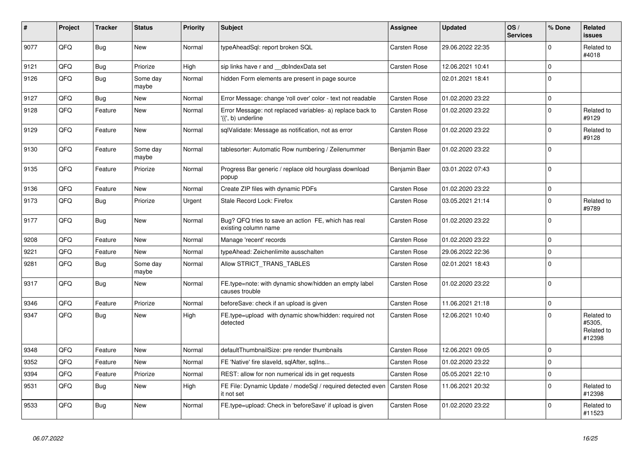| #    | Project | <b>Tracker</b> | <b>Status</b>     | <b>Priority</b> | <b>Subject</b>                                                                  | Assignee            | <b>Updated</b>   | OS/<br><b>Services</b> | % Done      | Related<br><b>issues</b>                     |
|------|---------|----------------|-------------------|-----------------|---------------------------------------------------------------------------------|---------------------|------------------|------------------------|-------------|----------------------------------------------|
| 9077 | QFQ     | <b>Bug</b>     | <b>New</b>        | Normal          | typeAheadSgl: report broken SQL                                                 | <b>Carsten Rose</b> | 29.06.2022 22:35 |                        | $\Omega$    | Related to<br>#4018                          |
| 9121 | QFQ     | <b>Bug</b>     | Priorize          | High            | sip links have r and __dbIndexData set                                          | Carsten Rose        | 12.06.2021 10:41 |                        | $\mathbf 0$ |                                              |
| 9126 | QFQ     | <b>Bug</b>     | Some day<br>maybe | Normal          | hidden Form elements are present in page source                                 |                     | 02.01.2021 18:41 |                        | $\Omega$    |                                              |
| 9127 | QFQ     | <b>Bug</b>     | <b>New</b>        | Normal          | Error Message: change 'roll over' color - text not readable                     | Carsten Rose        | 01.02.2020 23:22 |                        | $\mathbf 0$ |                                              |
| 9128 | QFQ     | Feature        | New               | Normal          | Error Message: not replaced variables- a) replace back to<br>'{{', b) underline | <b>Carsten Rose</b> | 01.02.2020 23:22 |                        | $\Omega$    | Related to<br>#9129                          |
| 9129 | QFQ     | Feature        | <b>New</b>        | Normal          | sqlValidate: Message as notification, not as error                              | <b>Carsten Rose</b> | 01.02.2020 23:22 |                        | $\Omega$    | Related to<br>#9128                          |
| 9130 | QFQ     | Feature        | Some day<br>maybe | Normal          | tablesorter: Automatic Row numbering / Zeilenummer                              | Benjamin Baer       | 01.02.2020 23:22 |                        | $\Omega$    |                                              |
| 9135 | QFQ     | Feature        | Priorize          | Normal          | Progress Bar generic / replace old hourglass download<br>popup                  | Benjamin Baer       | 03.01.2022 07:43 |                        | $\Omega$    |                                              |
| 9136 | QFQ     | Feature        | <b>New</b>        | Normal          | Create ZIP files with dynamic PDFs                                              | <b>Carsten Rose</b> | 01.02.2020 23:22 |                        | $\mathbf 0$ |                                              |
| 9173 | QFQ     | <b>Bug</b>     | Priorize          | Urgent          | Stale Record Lock: Firefox                                                      | Carsten Rose        | 03.05.2021 21:14 |                        | $\Omega$    | Related to<br>#9789                          |
| 9177 | QFQ     | Bug            | <b>New</b>        | Normal          | Bug? QFQ tries to save an action FE, which has real<br>existing column name     | <b>Carsten Rose</b> | 01.02.2020 23:22 |                        | $\Omega$    |                                              |
| 9208 | QFQ     | Feature        | New               | Normal          | Manage 'recent' records                                                         | Carsten Rose        | 01.02.2020 23:22 |                        | $\Omega$    |                                              |
| 9221 | QFQ     | Feature        | New               | Normal          | typeAhead: Zeichenlimite ausschalten                                            | <b>Carsten Rose</b> | 29.06.2022 22:36 |                        | $\Omega$    |                                              |
| 9281 | QFQ     | Bug            | Some day<br>maybe | Normal          | Allow STRICT TRANS TABLES                                                       | Carsten Rose        | 02.01.2021 18:43 |                        | $\mathbf 0$ |                                              |
| 9317 | QFQ     | Bug            | <b>New</b>        | Normal          | FE.type=note: with dynamic show/hidden an empty label<br>causes trouble         | <b>Carsten Rose</b> | 01.02.2020 23:22 |                        | $\Omega$    |                                              |
| 9346 | QFQ     | Feature        | Priorize          | Normal          | beforeSave: check if an upload is given                                         | Carsten Rose        | 11.06.2021 21:18 |                        | $\Omega$    |                                              |
| 9347 | QFQ     | <b>Bug</b>     | <b>New</b>        | High            | FE.type=upload with dynamic show/hidden: required not<br>detected               | Carsten Rose        | 12.06.2021 10:40 |                        | $\Omega$    | Related to<br>#5305,<br>Related to<br>#12398 |
| 9348 | QFQ     | Feature        | <b>New</b>        | Normal          | defaultThumbnailSize: pre render thumbnails                                     | <b>Carsten Rose</b> | 12.06.2021 09:05 |                        | $\Omega$    |                                              |
| 9352 | QFQ     | Feature        | <b>New</b>        | Normal          | FE 'Native' fire slaveld, sqlAfter, sqllns                                      | Carsten Rose        | 01.02.2020 23:22 |                        | $\mathbf 0$ |                                              |
| 9394 | QFQ     | Feature        | Priorize          | Normal          | REST: allow for non numerical ids in get requests                               | <b>Carsten Rose</b> | 05.05.2021 22:10 |                        | $\Omega$    |                                              |
| 9531 | QFQ     | Bug            | <b>New</b>        | High            | FE File: Dynamic Update / modeSql / required detected even<br>it not set        | <b>Carsten Rose</b> | 11.06.2021 20:32 |                        | $\Omega$    | Related to<br>#12398                         |
| 9533 | QFQ     | <b>Bug</b>     | <b>New</b>        | Normal          | FE.type=upload: Check in 'beforeSave' if upload is given                        | Carsten Rose        | 01.02.2020 23:22 |                        | $\Omega$    | Related to<br>#11523                         |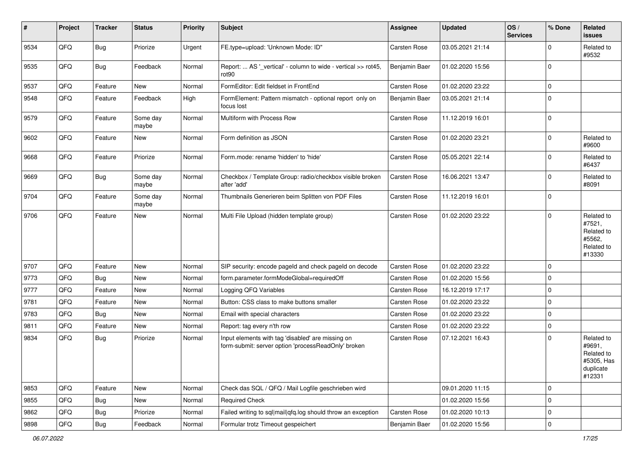| #    | Project | <b>Tracker</b> | <b>Status</b>     | <b>Priority</b> | <b>Subject</b>                                                                                           | <b>Assignee</b>     | <b>Updated</b>   | OS/<br><b>Services</b> | % Done      | Related<br>issues                                                       |
|------|---------|----------------|-------------------|-----------------|----------------------------------------------------------------------------------------------------------|---------------------|------------------|------------------------|-------------|-------------------------------------------------------------------------|
| 9534 | QFQ     | Bug            | Priorize          | Urgent          | FE.type=upload: 'Unknown Mode: ID"                                                                       | Carsten Rose        | 03.05.2021 21:14 |                        | 0           | Related to<br>#9532                                                     |
| 9535 | QFQ     | Bug            | Feedback          | Normal          | Report:  AS '_vertical' - column to wide - vertical >> rot45,<br>rot <sub>90</sub>                       | Benjamin Baer       | 01.02.2020 15:56 |                        | $\Omega$    |                                                                         |
| 9537 | QFQ     | Feature        | <b>New</b>        | Normal          | FormEditor: Edit fieldset in FrontEnd                                                                    | <b>Carsten Rose</b> | 01.02.2020 23:22 |                        | 0           |                                                                         |
| 9548 | QFQ     | Feature        | Feedback          | High            | FormElement: Pattern mismatch - optional report only on<br>focus lost                                    | Benjamin Baer       | 03.05.2021 21:14 |                        | $\Omega$    |                                                                         |
| 9579 | QFQ     | Feature        | Some day<br>maybe | Normal          | Multiform with Process Row                                                                               | Carsten Rose        | 11.12.2019 16:01 |                        | $\Omega$    |                                                                         |
| 9602 | QFQ     | Feature        | <b>New</b>        | Normal          | Form definition as JSON                                                                                  | Carsten Rose        | 01.02.2020 23:21 |                        | $\Omega$    | Related to<br>#9600                                                     |
| 9668 | QFQ     | Feature        | Priorize          | Normal          | Form.mode: rename 'hidden' to 'hide'                                                                     | <b>Carsten Rose</b> | 05.05.2021 22:14 |                        | 0           | Related to<br>#6437                                                     |
| 9669 | QFQ     | Bug            | Some day<br>maybe | Normal          | Checkbox / Template Group: radio/checkbox visible broken<br>after 'add'                                  | <b>Carsten Rose</b> | 16.06.2021 13:47 |                        | $\Omega$    | Related to<br>#8091                                                     |
| 9704 | QFQ     | Feature        | Some dav<br>maybe | Normal          | Thumbnails Generieren beim Splitten von PDF Files                                                        | Carsten Rose        | 11.12.2019 16:01 |                        | $\Omega$    |                                                                         |
| 9706 | QFQ     | Feature        | <b>New</b>        | Normal          | Multi File Upload (hidden template group)                                                                | Carsten Rose        | 01.02.2020 23:22 |                        | $\Omega$    | Related to<br>#7521,<br>Related to<br>#5562,<br>Related to<br>#13330    |
| 9707 | QFQ     | Feature        | <b>New</b>        | Normal          | SIP security: encode pageld and check pageld on decode                                                   | <b>Carsten Rose</b> | 01.02.2020 23:22 |                        | $\Omega$    |                                                                         |
| 9773 | QFQ     | Bug            | <b>New</b>        | Normal          | form.parameter.formModeGlobal=requiredOff                                                                | Carsten Rose        | 01.02.2020 15:56 |                        | $\Omega$    |                                                                         |
| 9777 | QFQ     | Feature        | <b>New</b>        | Normal          | Logging QFQ Variables                                                                                    | <b>Carsten Rose</b> | 16.12.2019 17:17 |                        | $\Omega$    |                                                                         |
| 9781 | QFQ     | Feature        | <b>New</b>        | Normal          | Button: CSS class to make buttons smaller                                                                | Carsten Rose        | 01.02.2020 23:22 |                        | $\Omega$    |                                                                         |
| 9783 | QFQ     | Bug            | <b>New</b>        | Normal          | Email with special characters                                                                            | <b>Carsten Rose</b> | 01.02.2020 23:22 |                        | $\mathbf 0$ |                                                                         |
| 9811 | QFQ     | Feature        | <b>New</b>        | Normal          | Report: tag every n'th row                                                                               | <b>Carsten Rose</b> | 01.02.2020 23:22 |                        | $\mathbf 0$ |                                                                         |
| 9834 | QFQ     | Bug            | Priorize          | Normal          | Input elements with tag 'disabled' are missing on<br>form-submit: server option 'processReadOnly' broken | <b>Carsten Rose</b> | 07.12.2021 16:43 |                        | $\Omega$    | Related to<br>#9691,<br>Related to<br>#5305, Has<br>duplicate<br>#12331 |
| 9853 | QFQ     | Feature        | New               | Normal          | Check das SQL / QFQ / Mail Logfile geschrieben wird                                                      |                     | 09.01.2020 11:15 |                        | $\mathbf 0$ |                                                                         |
| 9855 | QFQ     | Bug            | New               | Normal          | <b>Required Check</b>                                                                                    |                     | 01.02.2020 15:56 |                        | $\mathbf 0$ |                                                                         |
| 9862 | QFQ     | <b>Bug</b>     | Priorize          | Normal          | Failed writing to sql mail qfq.log should throw an exception                                             | Carsten Rose        | 01.02.2020 10:13 |                        | 0           |                                                                         |
| 9898 | QFQ     | Bug            | Feedback          | Normal          | Formular trotz Timeout gespeichert                                                                       | Benjamin Baer       | 01.02.2020 15:56 |                        | $\mathbf 0$ |                                                                         |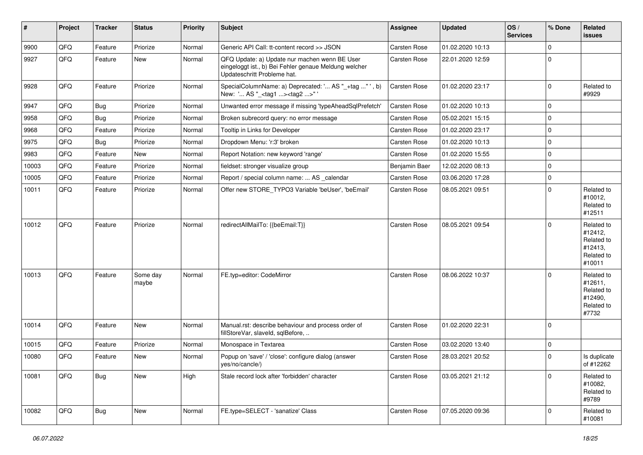| #     | Project | <b>Tracker</b> | <b>Status</b>     | <b>Priority</b> | <b>Subject</b>                                                                                                                        | Assignee            | <b>Updated</b>   | OS/<br><b>Services</b> | % Done      | Related<br>issues                                                      |
|-------|---------|----------------|-------------------|-----------------|---------------------------------------------------------------------------------------------------------------------------------------|---------------------|------------------|------------------------|-------------|------------------------------------------------------------------------|
| 9900  | QFQ     | Feature        | Priorize          | Normal          | Generic API Call: tt-content record >> JSON                                                                                           | Carsten Rose        | 01.02.2020 10:13 |                        | $\mathbf 0$ |                                                                        |
| 9927  | QFQ     | Feature        | New               | Normal          | QFQ Update: a) Update nur machen wenn BE User<br>eingeloggt ist., b) Bei Fehler genaue Meldung welcher<br>Updateschritt Probleme hat. | <b>Carsten Rose</b> | 22.01.2020 12:59 |                        | $\mathbf 0$ |                                                                        |
| 9928  | QFQ     | Feature        | Priorize          | Normal          | SpecialColumnName: a) Deprecated: ' AS "_+tag " ', b)<br>New: ' AS "_ <tag1><tag2>"</tag2></tag1>                                     | <b>Carsten Rose</b> | 01.02.2020 23:17 |                        | $\mathbf 0$ | Related to<br>#9929                                                    |
| 9947  | QFQ     | Bug            | Priorize          | Normal          | Unwanted error message if missing 'typeAheadSqlPrefetch'                                                                              | Carsten Rose        | 01.02.2020 10:13 |                        | $\mathbf 0$ |                                                                        |
| 9958  | QFQ     | Bug            | Priorize          | Normal          | Broken subrecord query: no error message                                                                                              | Carsten Rose        | 05.02.2021 15:15 |                        | $\mathbf 0$ |                                                                        |
| 9968  | QFQ     | Feature        | Priorize          | Normal          | Tooltip in Links for Developer                                                                                                        | <b>Carsten Rose</b> | 01.02.2020 23:17 |                        | $\mathbf 0$ |                                                                        |
| 9975  | QFQ     | Bug            | Priorize          | Normal          | Dropdown Menu: 'r:3' broken                                                                                                           | Carsten Rose        | 01.02.2020 10:13 |                        | $\mathbf 0$ |                                                                        |
| 9983  | QFQ     | Feature        | New               | Normal          | Report Notation: new keyword 'range'                                                                                                  | Carsten Rose        | 01.02.2020 15:55 |                        | $\mathbf 0$ |                                                                        |
| 10003 | QFQ     | Feature        | Priorize          | Normal          | fieldset: stronger visualize group                                                                                                    | Benjamin Baer       | 12.02.2020 08:13 |                        | $\mathbf 0$ |                                                                        |
| 10005 | QFQ     | Feature        | Priorize          | Normal          | Report / special column name:  AS calendar                                                                                            | Carsten Rose        | 03.06.2020 17:28 |                        | $\mathbf 0$ |                                                                        |
| 10011 | QFQ     | Feature        | Priorize          | Normal          | Offer new STORE_TYPO3 Variable 'beUser', 'beEmail'                                                                                    | <b>Carsten Rose</b> | 08.05.2021 09:51 |                        | $\mathbf 0$ | Related to<br>#10012,<br>Related to<br>#12511                          |
| 10012 | QFQ     | Feature        | Priorize          | Normal          | redirectAllMailTo: {{beEmail:T}}                                                                                                      | <b>Carsten Rose</b> | 08.05.2021 09:54 |                        | 0           | Related to<br>#12412,<br>Related to<br>#12413,<br>Related to<br>#10011 |
| 10013 | QFQ     | Feature        | Some day<br>maybe | Normal          | FE.typ=editor: CodeMirror                                                                                                             | Carsten Rose        | 08.06.2022 10:37 |                        | $\Omega$    | Related to<br>#12611,<br>Related to<br>#12490,<br>Related to<br>#7732  |
| 10014 | QFQ     | Feature        | New               | Normal          | Manual.rst: describe behaviour and process order of<br>fillStoreVar, slaveId, sqlBefore,                                              | Carsten Rose        | 01.02.2020 22:31 |                        | 0           |                                                                        |
| 10015 | QFQ     | Feature        | Priorize          | Normal          | Monospace in Textarea                                                                                                                 | Carsten Rose        | 03.02.2020 13:40 |                        | $\mathbf 0$ |                                                                        |
| 10080 | QFQ     | Feature        | New               | Normal          | Popup on 'save' / 'close': configure dialog (answer<br>yes/no/cancle/)                                                                | Carsten Rose        | 28.03.2021 20:52 |                        | $\mathbf 0$ | Is duplicate<br>of #12262                                              |
| 10081 | QFQ     | Bug            | New               | High            | Stale record lock after 'forbidden' character                                                                                         | Carsten Rose        | 03.05.2021 21:12 |                        | $\Omega$    | Related to<br>#10082,<br>Related to<br>#9789                           |
| 10082 | QFQ     | Bug            | New               | Normal          | FE.type=SELECT - 'sanatize' Class                                                                                                     | Carsten Rose        | 07.05.2020 09:36 |                        | $\Omega$    | Related to<br>#10081                                                   |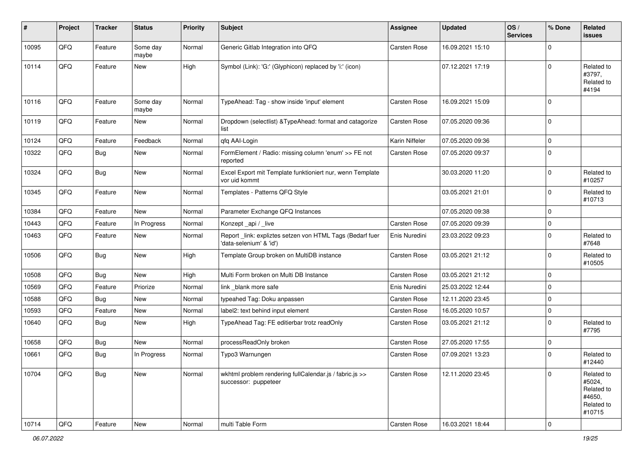| #     | Project | <b>Tracker</b> | <b>Status</b>     | <b>Priority</b> | Subject                                                                             | <b>Assignee</b>     | <b>Updated</b>   | OS/<br><b>Services</b> | % Done      | Related<br>issues                                                    |
|-------|---------|----------------|-------------------|-----------------|-------------------------------------------------------------------------------------|---------------------|------------------|------------------------|-------------|----------------------------------------------------------------------|
| 10095 | QFQ     | Feature        | Some day<br>maybe | Normal          | Generic Gitlab Integration into QFQ                                                 | Carsten Rose        | 16.09.2021 15:10 |                        | $\Omega$    |                                                                      |
| 10114 | QFQ     | Feature        | New               | High            | Symbol (Link): 'G:' (Glyphicon) replaced by 'i:' (icon)                             |                     | 07.12.2021 17:19 |                        | $\Omega$    | Related to<br>#3797,<br>Related to<br>#4194                          |
| 10116 | QFQ     | Feature        | Some day<br>maybe | Normal          | TypeAhead: Tag - show inside 'input' element                                        | <b>Carsten Rose</b> | 16.09.2021 15:09 |                        | $\Omega$    |                                                                      |
| 10119 | QFQ     | Feature        | New               | Normal          | Dropdown (selectlist) & TypeAhead: format and catagorize<br>list                    | Carsten Rose        | 07.05.2020 09:36 |                        | 0           |                                                                      |
| 10124 | QFQ     | Feature        | Feedback          | Normal          | qfq AAI-Login                                                                       | Karin Niffeler      | 07.05.2020 09:36 |                        | 0           |                                                                      |
| 10322 | QFQ     | Bug            | New               | Normal          | FormElement / Radio: missing column 'enum' >> FE not<br>reported                    | <b>Carsten Rose</b> | 07.05.2020 09:37 |                        | $\Omega$    |                                                                      |
| 10324 | QFQ     | Bug            | New               | Normal          | Excel Export mit Template funktioniert nur, wenn Template<br>vor uid kommt          |                     | 30.03.2020 11:20 |                        | $\Omega$    | Related to<br>#10257                                                 |
| 10345 | QFQ     | Feature        | New               | Normal          | Templates - Patterns QFQ Style                                                      |                     | 03.05.2021 21:01 |                        | $\mathbf 0$ | Related to<br>#10713                                                 |
| 10384 | QFQ     | Feature        | <b>New</b>        | Normal          | Parameter Exchange QFQ Instances                                                    |                     | 07.05.2020 09:38 |                        | $\Omega$    |                                                                      |
| 10443 | QFQ     | Feature        | In Progress       | Normal          | Konzept_api / _live                                                                 | <b>Carsten Rose</b> | 07.05.2020 09:39 |                        | $\mathbf 0$ |                                                                      |
| 10463 | QFQ     | Feature        | New               | Normal          | Report_link: expliztes setzen von HTML Tags (Bedarf fuer<br>'data-selenium' & 'id') | Enis Nuredini       | 23.03.2022 09:23 |                        | $\Omega$    | Related to<br>#7648                                                  |
| 10506 | QFQ     | Bug            | <b>New</b>        | High            | Template Group broken on MultiDB instance                                           | Carsten Rose        | 03.05.2021 21:12 |                        | $\Omega$    | Related to<br>#10505                                                 |
| 10508 | QFQ     | Bug            | New               | High            | Multi Form broken on Multi DB Instance                                              | <b>Carsten Rose</b> | 03.05.2021 21:12 |                        | $\mathbf 0$ |                                                                      |
| 10569 | QFQ     | Feature        | Priorize          | Normal          | link blank more safe                                                                | Enis Nuredini       | 25.03.2022 12:44 |                        | $\mathbf 0$ |                                                                      |
| 10588 | QFQ     | Bug            | New               | Normal          | typeahed Tag: Doku anpassen                                                         | Carsten Rose        | 12.11.2020 23:45 |                        | $\Omega$    |                                                                      |
| 10593 | QFQ     | Feature        | New               | Normal          | label2: text behind input element                                                   | <b>Carsten Rose</b> | 16.05.2020 10:57 |                        | $\mathbf 0$ |                                                                      |
| 10640 | QFQ     | <b>Bug</b>     | <b>New</b>        | High            | TypeAhead Tag: FE editierbar trotz readOnly                                         | <b>Carsten Rose</b> | 03.05.2021 21:12 |                        | $\mathbf 0$ | Related to<br>#7795                                                  |
| 10658 | QFQ     | <b>Bug</b>     | New               | Normal          | processReadOnly broken                                                              | <b>Carsten Rose</b> | 27.05.2020 17:55 |                        | $\mathbf 0$ |                                                                      |
| 10661 | QFQ     | <b>Bug</b>     | In Progress       | Normal          | Typo3 Warnungen                                                                     | <b>Carsten Rose</b> | 07.09.2021 13:23 |                        | $\Omega$    | Related to<br>#12440                                                 |
| 10704 | QFQ     | <b>Bug</b>     | New               | Normal          | wkhtml problem rendering fullCalendar.js / fabric.js >><br>successor: puppeteer     | <b>Carsten Rose</b> | 12.11.2020 23:45 |                        | $\Omega$    | Related to<br>#5024,<br>Related to<br>#4650,<br>Related to<br>#10715 |
| 10714 | QFG     | Feature        | New               | Normal          | multi Table Form                                                                    | Carsten Rose        | 16.03.2021 18:44 |                        | $\mathbf 0$ |                                                                      |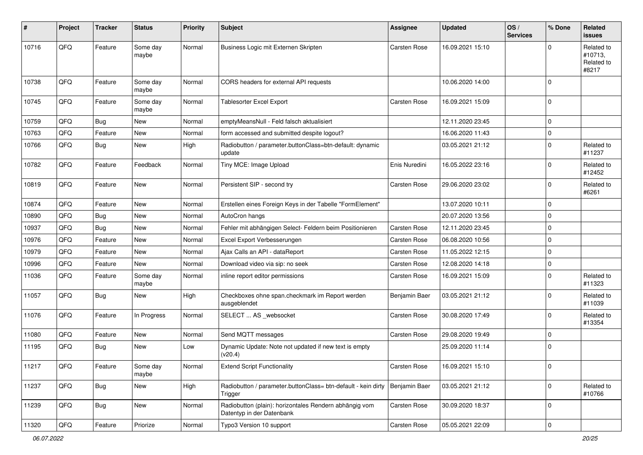| $\sharp$ | Project | <b>Tracker</b> | <b>Status</b>     | <b>Priority</b> | <b>Subject</b>                                                                      | <b>Assignee</b>     | <b>Updated</b>   | OS/<br><b>Services</b> | % Done              | Related<br><b>issues</b>                     |
|----------|---------|----------------|-------------------|-----------------|-------------------------------------------------------------------------------------|---------------------|------------------|------------------------|---------------------|----------------------------------------------|
| 10716    | QFQ     | Feature        | Some day<br>maybe | Normal          | Business Logic mit Externen Skripten                                                | Carsten Rose        | 16.09.2021 15:10 |                        | O                   | Related to<br>#10713,<br>Related to<br>#8217 |
| 10738    | QFQ     | Feature        | Some day<br>maybe | Normal          | CORS headers for external API requests                                              |                     | 10.06.2020 14:00 |                        | $\Omega$            |                                              |
| 10745    | QFQ     | Feature        | Some day<br>maybe | Normal          | <b>Tablesorter Excel Export</b>                                                     | <b>Carsten Rose</b> | 16.09.2021 15:09 |                        | $\Omega$            |                                              |
| 10759    | QFQ     | <b>Bug</b>     | <b>New</b>        | Normal          | emptyMeansNull - Feld falsch aktualisiert                                           |                     | 12.11.2020 23:45 |                        | $\mathbf 0$         |                                              |
| 10763    | QFQ     | Feature        | New               | Normal          | form accessed and submitted despite logout?                                         |                     | 16.06.2020 11:43 |                        | 0                   |                                              |
| 10766    | QFQ     | Bug            | <b>New</b>        | High            | Radiobutton / parameter.buttonClass=btn-default: dynamic<br>update                  |                     | 03.05.2021 21:12 |                        | $\Omega$            | Related to<br>#11237                         |
| 10782    | QFQ     | Feature        | Feedback          | Normal          | Tiny MCE: Image Upload                                                              | Enis Nuredini       | 16.05.2022 23:16 |                        | $\Omega$            | Related to<br>#12452                         |
| 10819    | QFQ     | Feature        | New               | Normal          | Persistent SIP - second try                                                         | <b>Carsten Rose</b> | 29.06.2020 23:02 |                        | $\Omega$            | Related to<br>#6261                          |
| 10874    | QFQ     | Feature        | <b>New</b>        | Normal          | Erstellen eines Foreign Keys in der Tabelle "FormElement"                           |                     | 13.07.2020 10:11 |                        | $\mathbf 0$         |                                              |
| 10890    | QFQ     | Bug            | New               | Normal          | AutoCron hangs                                                                      |                     | 20.07.2020 13:56 |                        | $\mathbf 0$         |                                              |
| 10937    | QFQ     | Bug            | New               | Normal          | Fehler mit abhängigen Select- Feldern beim Positionieren                            | <b>Carsten Rose</b> | 12.11.2020 23:45 |                        | $\Omega$            |                                              |
| 10976    | QFQ     | Feature        | <b>New</b>        | Normal          | Excel Export Verbesserungen                                                         | <b>Carsten Rose</b> | 06.08.2020 10:56 |                        | $\mathbf 0$         |                                              |
| 10979    | QFQ     | Feature        | New               | Normal          | Ajax Calls an API - dataReport                                                      | <b>Carsten Rose</b> | 11.05.2022 12:15 |                        | $\mathbf 0$         |                                              |
| 10996    | QFQ     | Feature        | New               | Normal          | Download video via sip: no seek                                                     | Carsten Rose        | 12.08.2020 14:18 |                        | $\Omega$            |                                              |
| 11036    | QFQ     | Feature        | Some day<br>maybe | Normal          | inline report editor permissions                                                    | <b>Carsten Rose</b> | 16.09.2021 15:09 |                        | $\Omega$            | Related to<br>#11323                         |
| 11057    | QFQ     | Bug            | <b>New</b>        | High            | Checkboxes ohne span.checkmark im Report werden<br>ausgeblendet                     | Benjamin Baer       | 03.05.2021 21:12 |                        | 0                   | Related to<br>#11039                         |
| 11076    | QFQ     | Feature        | In Progress       | Normal          | SELECT  AS _websocket                                                               | <b>Carsten Rose</b> | 30.08.2020 17:49 |                        | $\Omega$            | Related to<br>#13354                         |
| 11080    | QFQ     | Feature        | New               | Normal          | Send MQTT messages                                                                  | Carsten Rose        | 29.08.2020 19:49 |                        | $\mathbf 0$         |                                              |
| 11195    | QFQ     | Bug            | New               | Low             | Dynamic Update: Note not updated if new text is empty<br>(v20.4)                    |                     | 25.09.2020 11:14 |                        | $\mathbf 0$         |                                              |
| 11217    | QFQ     | Feature        | Some day<br>maybe | Normal          | <b>Extend Script Functionality</b>                                                  | Carsten Rose        | 16.09.2021 15:10 |                        | 0                   |                                              |
| 11237    | QFQ     | Bug            | New               | High            | Radiobutton / parameter.buttonClass= btn-default - kein dirty<br>Trigger            | Benjamin Baer       | 03.05.2021 21:12 |                        | $\mathbf 0$         | Related to<br>#10766                         |
| 11239    | QFQ     | Bug            | New               | Normal          | Radiobutton (plain): horizontales Rendern abhängig vom<br>Datentyp in der Datenbank | Carsten Rose        | 30.09.2020 18:37 |                        | 0                   |                                              |
| 11320    | QFG     | Feature        | Priorize          | Normal          | Typo3 Version 10 support                                                            | Carsten Rose        | 05.05.2021 22:09 |                        | $\mathsf{O}\xspace$ |                                              |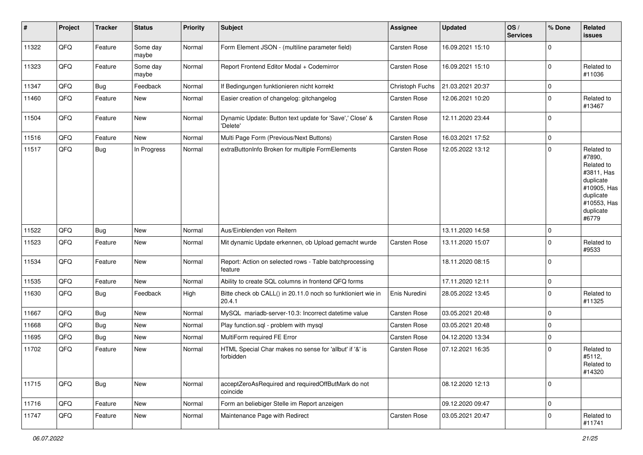| #     | Project | <b>Tracker</b> | <b>Status</b>     | <b>Priority</b> | <b>Subject</b>                                                         | <b>Assignee</b>     | <b>Updated</b>   | OS/<br><b>Services</b> | % Done         | Related<br>issues                                                                                                              |
|-------|---------|----------------|-------------------|-----------------|------------------------------------------------------------------------|---------------------|------------------|------------------------|----------------|--------------------------------------------------------------------------------------------------------------------------------|
| 11322 | QFQ     | Feature        | Some day<br>maybe | Normal          | Form Element JSON - (multiline parameter field)                        | Carsten Rose        | 16.09.2021 15:10 |                        | $\overline{0}$ |                                                                                                                                |
| 11323 | QFQ     | Feature        | Some day<br>maybe | Normal          | Report Frontend Editor Modal + Codemirror                              | <b>Carsten Rose</b> | 16.09.2021 15:10 |                        | $\Omega$       | Related to<br>#11036                                                                                                           |
| 11347 | QFQ     | Bug            | Feedback          | Normal          | If Bedingungen funktionieren nicht korrekt                             | Christoph Fuchs     | 21.03.2021 20:37 |                        | 0              |                                                                                                                                |
| 11460 | QFQ     | Feature        | New               | Normal          | Easier creation of changelog: gitchangelog                             | Carsten Rose        | 12.06.2021 10:20 |                        | $\mathbf 0$    | Related to<br>#13467                                                                                                           |
| 11504 | QFQ     | Feature        | <b>New</b>        | Normal          | Dynamic Update: Button text update for 'Save',' Close' &<br>'Delete'   | Carsten Rose        | 12.11.2020 23:44 |                        | $\overline{0}$ |                                                                                                                                |
| 11516 | QFQ     | Feature        | <b>New</b>        | Normal          | Multi Page Form (Previous/Next Buttons)                                | Carsten Rose        | 16.03.2021 17:52 |                        | 0              |                                                                                                                                |
| 11517 | QFQ     | Bug            | In Progress       | Normal          | extraButtonInfo Broken for multiple FormElements                       | <b>Carsten Rose</b> | 12.05.2022 13:12 |                        | $\mathbf 0$    | Related to<br>#7890,<br>Related to<br>#3811, Has<br>duplicate<br>#10905, Has<br>duplicate<br>#10553, Has<br>duplicate<br>#6779 |
| 11522 | QFQ     | Bug            | <b>New</b>        | Normal          | Aus/Einblenden von Reitern                                             |                     | 13.11.2020 14:58 |                        | $\mathbf 0$    |                                                                                                                                |
| 11523 | QFQ     | Feature        | <b>New</b>        | Normal          | Mit dynamic Update erkennen, ob Upload gemacht wurde                   | <b>Carsten Rose</b> | 13.11.2020 15:07 |                        | $\Omega$       | Related to<br>#9533                                                                                                            |
| 11534 | QFQ     | Feature        | New               | Normal          | Report: Action on selected rows - Table batchprocessing<br>feature     |                     | 18.11.2020 08:15 |                        | $\Omega$       |                                                                                                                                |
| 11535 | QFQ     | Feature        | <b>New</b>        | Normal          | Ability to create SQL columns in frontend QFQ forms                    |                     | 17.11.2020 12:11 |                        | $\mathbf 0$    |                                                                                                                                |
| 11630 | QFQ     | Bug            | Feedback          | High            | Bitte check ob CALL() in 20.11.0 noch so funktioniert wie in<br>20.4.1 | Enis Nuredini       | 28.05.2022 13:45 |                        | $\Omega$       | Related to<br>#11325                                                                                                           |
| 11667 | QFQ     | Bug            | <b>New</b>        | Normal          | MySQL mariadb-server-10.3: Incorrect datetime value                    | <b>Carsten Rose</b> | 03.05.2021 20:48 |                        | $\Omega$       |                                                                                                                                |
| 11668 | QFQ     | Bug            | New               | Normal          | Play function.sql - problem with mysql                                 | <b>Carsten Rose</b> | 03.05.2021 20:48 |                        | $\mathbf 0$    |                                                                                                                                |
| 11695 | QFQ     | <b>Bug</b>     | <b>New</b>        | Normal          | MultiForm required FE Error                                            | Carsten Rose        | 04.12.2020 13:34 |                        | $\Omega$       |                                                                                                                                |
| 11702 | QFQ     | Feature        | New               | Normal          | HTML Special Char makes no sense for 'allbut' if '&' is<br>forbidden   | <b>Carsten Rose</b> | 07.12.2021 16:35 |                        | $\Omega$       | Related to<br>#5112,<br>Related to<br>#14320                                                                                   |
| 11715 | QFG     | <b>Bug</b>     | New               | Normal          | acceptZeroAsRequired and requiredOffButMark do not<br>coincide         |                     | 08.12.2020 12:13 |                        | $\mathbf 0$    |                                                                                                                                |
| 11716 | QFQ     | Feature        | New               | Normal          | Form an beliebiger Stelle im Report anzeigen                           |                     | 09.12.2020 09:47 |                        | 0              |                                                                                                                                |
| 11747 | QFQ     | Feature        | New               | Normal          | Maintenance Page with Redirect                                         | Carsten Rose        | 03.05.2021 20:47 |                        | $\mathbf 0$    | Related to<br>#11741                                                                                                           |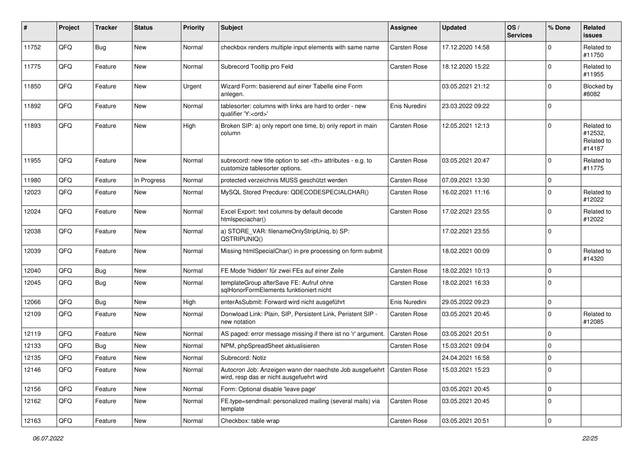| #     | Project | <b>Tracker</b> | <b>Status</b> | <b>Priority</b> | <b>Subject</b>                                                                                                      | <b>Assignee</b>                                        | <b>Updated</b>      | OS/<br><b>Services</b> | % Done      | Related<br><b>issues</b>                      |                      |
|-------|---------|----------------|---------------|-----------------|---------------------------------------------------------------------------------------------------------------------|--------------------------------------------------------|---------------------|------------------------|-------------|-----------------------------------------------|----------------------|
| 11752 | QFQ     | Bug            | New           | Normal          | checkbox renders multiple input elements with same name                                                             | <b>Carsten Rose</b>                                    | 17.12.2020 14:58    |                        | $\Omega$    | Related to<br>#11750                          |                      |
| 11775 | QFQ     | Feature        | <b>New</b>    | Normal          | Subrecord Tooltip pro Feld                                                                                          | <b>Carsten Rose</b>                                    | 18.12.2020 15:22    |                        | $\Omega$    | Related to<br>#11955                          |                      |
| 11850 | QFQ     | Feature        | <b>New</b>    | Urgent          | Wizard Form: basierend auf einer Tabelle eine Form<br>anlegen.                                                      |                                                        | 03.05.2021 21:12    |                        | $\Omega$    | Blocked by<br>#8082                           |                      |
| 11892 | QFQ     | Feature        | New           | Normal          | tablesorter: columns with links are hard to order - new<br>qualifier 'Y: <ord>'</ord>                               | Enis Nuredini                                          | 23.03.2022 09:22    |                        | 0           |                                               |                      |
| 11893 | QFQ     | Feature        | New           | High            | Broken SIP: a) only report one time, b) only report in main<br>column                                               | <b>Carsten Rose</b>                                    | 12.05.2021 12:13    |                        | $\Omega$    | Related to<br>#12532,<br>Related to<br>#14187 |                      |
| 11955 | QFQ     | Feature        | <b>New</b>    | Normal          | subrecord: new title option to set <th> attributes - e.g. to<br/>customize tablesorter options.</th>                | attributes - e.g. to<br>customize tablesorter options. | <b>Carsten Rose</b> | 03.05.2021 20:47       |             | $\Omega$                                      | Related to<br>#11775 |
| 11980 | QFQ     | Feature        | In Progress   | Normal          | protected verzeichnis MUSS geschützt werden                                                                         | <b>Carsten Rose</b>                                    | 07.09.2021 13:30    |                        | $\mathbf 0$ |                                               |                      |
| 12023 | QFQ     | Feature        | New           | Normal          | MySQL Stored Precdure: QDECODESPECIALCHAR()                                                                         | <b>Carsten Rose</b>                                    | 16.02.2021 11:16    |                        | $\Omega$    | Related to<br>#12022                          |                      |
| 12024 | QFQ     | Feature        | New           | Normal          | Excel Export: text columns by default decode<br>htmlspeciachar()                                                    | <b>Carsten Rose</b>                                    | 17.02.2021 23:55    |                        | $\Omega$    | Related to<br>#12022                          |                      |
| 12038 | QFQ     | Feature        | New           | Normal          | a) STORE_VAR: filenameOnlyStripUniq, b) SP:<br>QSTRIPUNIQ()                                                         |                                                        | 17.02.2021 23:55    |                        | 0           |                                               |                      |
| 12039 | QFQ     | Feature        | <b>New</b>    | Normal          | Missing htmlSpecialChar() in pre processing on form submit                                                          |                                                        | 18.02.2021 00:09    |                        | $\Omega$    | Related to<br>#14320                          |                      |
| 12040 | QFQ     | Bug            | New           | Normal          | FE Mode 'hidden' für zwei FEs auf einer Zeile                                                                       | <b>Carsten Rose</b>                                    | 18.02.2021 10:13    |                        | $\mathbf 0$ |                                               |                      |
| 12045 | QFQ     | Bug            | New           | Normal          | templateGroup afterSave FE: Aufruf ohne<br>sglHonorFormElements funktioniert nicht                                  | Carsten Rose                                           | 18.02.2021 16:33    |                        | $\mathbf 0$ |                                               |                      |
| 12066 | QFQ     | Bug            | New           | High            | enterAsSubmit: Forward wird nicht ausgeführt                                                                        | Enis Nuredini                                          | 29.05.2022 09:23    |                        | $\mathbf 0$ |                                               |                      |
| 12109 | QFQ     | Feature        | <b>New</b>    | Normal          | Donwload Link: Plain, SIP, Persistent Link, Peristent SIP -<br>new notation                                         | Carsten Rose                                           | 03.05.2021 20:45    |                        | $\mathbf 0$ | Related to<br>#12085                          |                      |
| 12119 | QFQ     | Feature        | <b>New</b>    | Normal          | AS paged: error message missing if there ist no 'r' argument.                                                       | Carsten Rose                                           | 03.05.2021 20:51    |                        | $\Omega$    |                                               |                      |
| 12133 | QFQ     | Bug            | <b>New</b>    | Normal          | NPM, phpSpreadSheet aktualisieren                                                                                   | <b>Carsten Rose</b>                                    | 15.03.2021 09:04    |                        | $\mathbf 0$ |                                               |                      |
| 12135 | QFQ     | Feature        | New           | Normal          | Subrecord: Notiz                                                                                                    |                                                        | 24.04.2021 16:58    |                        | $\mathbf 0$ |                                               |                      |
| 12146 | QFQ     | Feature        | New           | Normal          | Autocron Job: Anzeigen wann der naechste Job ausgefuehrt   Carsten Rose<br>wird, resp das er nicht ausgefuehrt wird |                                                        | 15.03.2021 15:23    |                        | 0           |                                               |                      |
| 12156 | QFQ     | Feature        | New           | Normal          | Form: Optional disable 'leave page'                                                                                 |                                                        | 03.05.2021 20:45    |                        | $\mathbf 0$ |                                               |                      |
| 12162 | QFQ     | Feature        | New           | Normal          | FE.type=sendmail: personalized mailing (several mails) via<br>template                                              | Carsten Rose                                           | 03.05.2021 20:45    |                        | 0           |                                               |                      |
| 12163 | QFQ     | Feature        | New           | Normal          | Checkbox: table wrap                                                                                                | Carsten Rose                                           | 03.05.2021 20:51    |                        | $\mathbf 0$ |                                               |                      |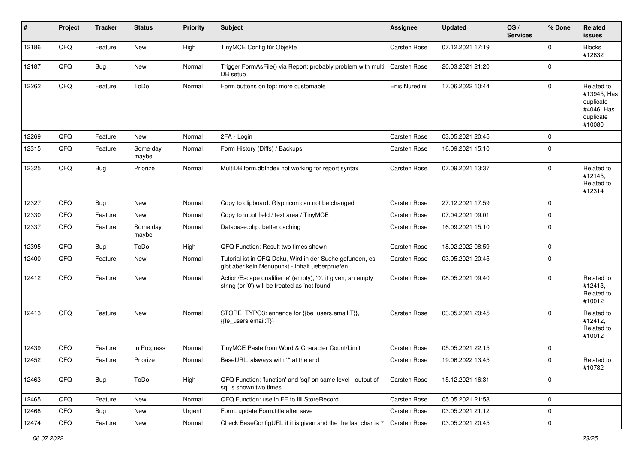| $\sharp$ | Project | <b>Tracker</b> | <b>Status</b>     | <b>Priority</b> | <b>Subject</b>                                                                                                 | <b>Assignee</b>     | <b>Updated</b>   | OS/<br><b>Services</b> | % Done      | Related<br><b>issues</b>                                                    |
|----------|---------|----------------|-------------------|-----------------|----------------------------------------------------------------------------------------------------------------|---------------------|------------------|------------------------|-------------|-----------------------------------------------------------------------------|
| 12186    | QFQ     | Feature        | New               | High            | TinyMCE Config für Objekte                                                                                     | Carsten Rose        | 07.12.2021 17:19 |                        | $\Omega$    | <b>Blocks</b><br>#12632                                                     |
| 12187    | QFQ     | Bug            | New               | Normal          | Trigger FormAsFile() via Report: probably problem with multi<br>DB setup                                       | <b>Carsten Rose</b> | 20.03.2021 21:20 |                        | 0           |                                                                             |
| 12262    | QFQ     | Feature        | ToDo              | Normal          | Form buttons on top: more customable                                                                           | Enis Nuredini       | 17.06.2022 10:44 |                        | $\Omega$    | Related to<br>#13945, Has<br>duplicate<br>#4046, Has<br>duplicate<br>#10080 |
| 12269    | QFQ     | Feature        | New               | Normal          | 2FA - Login                                                                                                    | Carsten Rose        | 03.05.2021 20:45 |                        | $\Omega$    |                                                                             |
| 12315    | QFQ     | Feature        | Some day<br>maybe | Normal          | Form History (Diffs) / Backups                                                                                 | <b>Carsten Rose</b> | 16.09.2021 15:10 |                        | $\mathbf 0$ |                                                                             |
| 12325    | QFQ     | Bug            | Priorize          | Normal          | MultiDB form.dblndex not working for report syntax                                                             | <b>Carsten Rose</b> | 07.09.2021 13:37 |                        | $\Omega$    | Related to<br>#12145,<br>Related to<br>#12314                               |
| 12327    | QFQ     | Bug            | New               | Normal          | Copy to clipboard: Glyphicon can not be changed                                                                | <b>Carsten Rose</b> | 27.12.2021 17:59 |                        | $\mathbf 0$ |                                                                             |
| 12330    | QFQ     | Feature        | New               | Normal          | Copy to input field / text area / TinyMCE                                                                      | <b>Carsten Rose</b> | 07.04.2021 09:01 |                        | $\mathbf 0$ |                                                                             |
| 12337    | QFQ     | Feature        | Some day<br>maybe | Normal          | Database.php: better caching                                                                                   | <b>Carsten Rose</b> | 16.09.2021 15:10 |                        | $\Omega$    |                                                                             |
| 12395    | QFQ     | Bug            | ToDo              | High            | QFQ Function: Result two times shown                                                                           | <b>Carsten Rose</b> | 18.02.2022 08:59 |                        | $\Omega$    |                                                                             |
| 12400    | QFQ     | Feature        | <b>New</b>        | Normal          | Tutorial ist in QFQ Doku, Wird in der Suche gefunden, es<br>gibt aber kein Menupunkt - Inhalt ueberpruefen     | <b>Carsten Rose</b> | 03.05.2021 20:45 |                        | 0           |                                                                             |
| 12412    | QFQ     | Feature        | New               | Normal          | Action/Escape qualifier 'e' (empty), '0': if given, an empty<br>string (or '0') will be treated as 'not found' | <b>Carsten Rose</b> | 08.05.2021 09:40 |                        | $\Omega$    | Related to<br>#12413,<br>Related to<br>#10012                               |
| 12413    | QFQ     | Feature        | New               | Normal          | STORE_TYPO3: enhance for {{be_users.email:T}},<br>{{fe users.email:T}}                                         | <b>Carsten Rose</b> | 03.05.2021 20:45 |                        | $\Omega$    | Related to<br>#12412,<br>Related to<br>#10012                               |
| 12439    | QFQ     | Feature        | In Progress       | Normal          | TinyMCE Paste from Word & Character Count/Limit                                                                | <b>Carsten Rose</b> | 05.05.2021 22:15 |                        | $\mathbf 0$ |                                                                             |
| 12452    | QFQ     | Feature        | Priorize          | Normal          | BaseURL: alsways with '/' at the end                                                                           | Carsten Rose        | 19.06.2022 13:45 |                        | $\Omega$    | Related to<br>#10782                                                        |
| 12463    | QFQ     | <b>Bug</b>     | ToDo              | High            | QFQ Function: 'function' and 'sql' on same level - output of<br>sql is shown two times.                        | Carsten Rose        | 15.12.2021 16:31 |                        | $\mathbf 0$ |                                                                             |
| 12465    | QFQ     | Feature        | New               | Normal          | QFQ Function: use in FE to fill StoreRecord                                                                    | Carsten Rose        | 05.05.2021 21:58 |                        | $\mathbf 0$ |                                                                             |
| 12468    | QFQ     | <b>Bug</b>     | New               | Urgent          | Form: update Form.title after save                                                                             | Carsten Rose        | 03.05.2021 21:12 |                        | $\mathbf 0$ |                                                                             |
| 12474    | QFQ     | Feature        | New               | Normal          | Check BaseConfigURL if it is given and the the last char is '/'                                                | <b>Carsten Rose</b> | 03.05.2021 20:45 |                        | $\mathbf 0$ |                                                                             |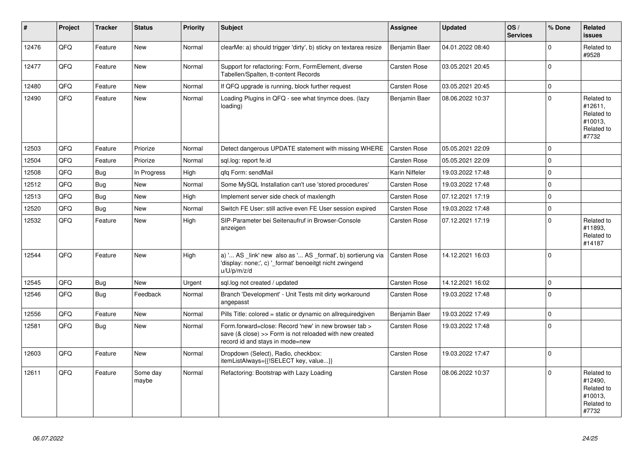| #     | Project | <b>Tracker</b> | <b>Status</b>     | <b>Priority</b> | <b>Subject</b>                                                                                                                                      | Assignee            | <b>Updated</b>   | OS/<br><b>Services</b> | % Done      | Related<br><b>issues</b>                                              |
|-------|---------|----------------|-------------------|-----------------|-----------------------------------------------------------------------------------------------------------------------------------------------------|---------------------|------------------|------------------------|-------------|-----------------------------------------------------------------------|
| 12476 | QFQ     | Feature        | New               | Normal          | clearMe: a) should trigger 'dirty', b) sticky on textarea resize                                                                                    | Benjamin Baer       | 04.01.2022 08:40 |                        | $\Omega$    | Related to<br>#9528                                                   |
| 12477 | QFQ     | Feature        | <b>New</b>        | Normal          | Support for refactoring: Form, FormElement, diverse<br>Tabellen/Spalten, tt-content Records                                                         | Carsten Rose        | 03.05.2021 20:45 |                        | $\Omega$    |                                                                       |
| 12480 | QFQ     | Feature        | New               | Normal          | If QFQ upgrade is running, block further request                                                                                                    | Carsten Rose        | 03.05.2021 20:45 |                        | $\mathbf 0$ |                                                                       |
| 12490 | QFQ     | Feature        | <b>New</b>        | Normal          | Loading Plugins in QFQ - see what tinymce does. (lazy<br>loading)                                                                                   | Benjamin Baer       | 08.06.2022 10:37 |                        | $\Omega$    | Related to<br>#12611,<br>Related to<br>#10013,<br>Related to<br>#7732 |
| 12503 | QFQ     | Feature        | Priorize          | Normal          | Detect dangerous UPDATE statement with missing WHERE                                                                                                | <b>Carsten Rose</b> | 05.05.2021 22:09 |                        | $\Omega$    |                                                                       |
| 12504 | QFQ     | Feature        | Priorize          | Normal          | sql.log: report fe.id                                                                                                                               | Carsten Rose        | 05.05.2021 22:09 |                        | $\mathbf 0$ |                                                                       |
| 12508 | QFQ     | <b>Bug</b>     | In Progress       | High            | gfg Form: sendMail                                                                                                                                  | Karin Niffeler      | 19.03.2022 17:48 |                        | $\Omega$    |                                                                       |
| 12512 | QFQ     | <b>Bug</b>     | <b>New</b>        | Normal          | Some MySQL Installation can't use 'stored procedures'                                                                                               | <b>Carsten Rose</b> | 19.03.2022 17:48 |                        | $\Omega$    |                                                                       |
| 12513 | QFQ     | <b>Bug</b>     | New               | High            | Implement server side check of maxlength                                                                                                            | Carsten Rose        | 07.12.2021 17:19 |                        | $\Omega$    |                                                                       |
| 12520 | QFQ     | Bug            | New               | Normal          | Switch FE User: still active even FE User session expired                                                                                           | Carsten Rose        | 19.03.2022 17:48 |                        | $\mathbf 0$ |                                                                       |
| 12532 | QFQ     | Feature        | <b>New</b>        | High            | SIP-Parameter bei Seitenaufruf in Browser-Console<br>anzeigen                                                                                       | <b>Carsten Rose</b> | 07.12.2021 17:19 |                        | $\Omega$    | Related to<br>#11893,<br>Related to<br>#14187                         |
| 12544 | QFQ     | Feature        | <b>New</b>        | High            | a) ' AS _link' new also as ' AS _format', b) sortierung via<br>'display: none;', c) ' format' benoeitgt nicht zwingend<br>u/U/p/m/z/d               | <b>Carsten Rose</b> | 14.12.2021 16:03 |                        | $\Omega$    |                                                                       |
| 12545 | QFQ     | Bug            | New               | Urgent          | sql.log not created / updated                                                                                                                       | <b>Carsten Rose</b> | 14.12.2021 16:02 |                        | $\mathbf 0$ |                                                                       |
| 12546 | QFQ     | Bug            | Feedback          | Normal          | Branch 'Development' - Unit Tests mit dirty workaround<br>angepasst                                                                                 | Carsten Rose        | 19.03.2022 17:48 |                        | $\Omega$    |                                                                       |
| 12556 | QFQ     | Feature        | <b>New</b>        | Normal          | Pills Title: colored = static or dynamic on allrequiredgiven                                                                                        | Benjamin Baer       | 19.03.2022 17:49 |                        | $\Omega$    |                                                                       |
| 12581 | QFQ     | Bug            | New               | Normal          | Form.forward=close: Record 'new' in new browser tab ><br>save (& close) >> Form is not reloaded with new created<br>record id and stays in mode=new | <b>Carsten Rose</b> | 19.03.2022 17:48 |                        | $\mathbf 0$ |                                                                       |
| 12603 | QFQ     | Feature        | <b>New</b>        | Normal          | Dropdown (Select), Radio, checkbox:<br>itemListAlways={{!SELECT key, value}}                                                                        | <b>Carsten Rose</b> | 19.03.2022 17:47 |                        | $\Omega$    |                                                                       |
| 12611 | QFQ     | Feature        | Some day<br>maybe | Normal          | Refactoring: Bootstrap with Lazy Loading                                                                                                            | Carsten Rose        | 08.06.2022 10:37 |                        | $\Omega$    | Related to<br>#12490,<br>Related to<br>#10013,<br>Related to<br>#7732 |